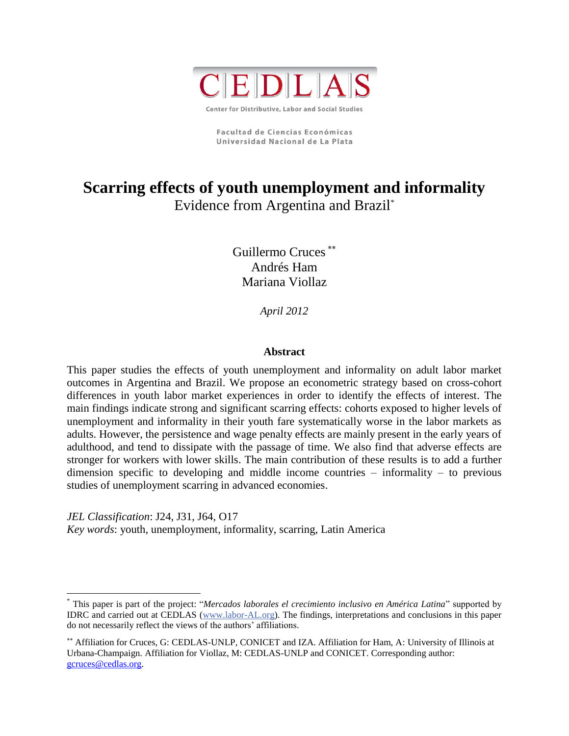

**Facultad de Ciencias Económicas** Universidad Nacional de La Plata

# **Scarring effects of youth unemployment and informality** Evidence from Argentina and Brazil\*

Guillermo Cruces Andrés Ham Mariana Viollaz

*April 2012*

# **Abstract**

This paper studies the effects of youth unemployment and informality on adult labor market outcomes in Argentina and Brazil. We propose an econometric strategy based on cross-cohort differences in youth labor market experiences in order to identify the effects of interest. The main findings indicate strong and significant scarring effects: cohorts exposed to higher levels of unemployment and informality in their youth fare systematically worse in the labor markets as adults. However, the persistence and wage penalty effects are mainly present in the early years of adulthood, and tend to dissipate with the passage of time. We also find that adverse effects are stronger for workers with lower skills. The main contribution of these results is to add a further dimension specific to developing and middle income countries – informality – to previous studies of unemployment scarring in advanced economies.

*JEL Classification*: J24, J31, J64, O17 *Key words*: youth, unemployment, informality, scarring, Latin America

 $\overline{a}$ 

<sup>\*</sup> This paper is part of the project: "*Mercados laborales el crecimiento inclusivo en América Latina*" supported by IDRC and carried out at CEDLAS [\(www.labor-AL.org\)](http://www.labor-al.org/). The findings, interpretations and conclusions in this paper do not necessarily reflect the views of the authors' affiliations.

Affiliation for Cruces, G: CEDLAS-UNLP, CONICET and IZA. Affiliation for Ham, A: University of Illinois at Urbana-Champaign. Affiliation for Viollaz, M: CEDLAS-UNLP and CONICET. Corresponding author: [gcruces@cedlas.org.](mailto:gcruces@cedlas.org)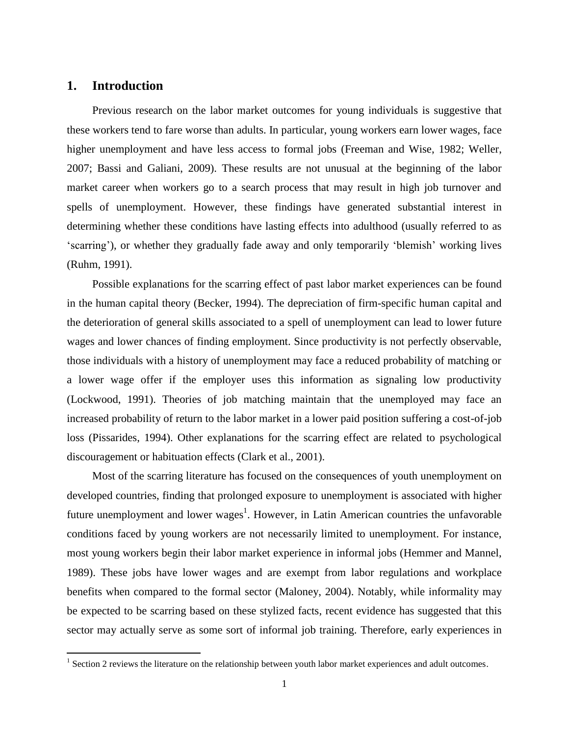# **1. Introduction**

 $\overline{a}$ 

Previous research on the labor market outcomes for young individuals is suggestive that these workers tend to fare worse than adults. In particular, young workers earn lower wages, face higher unemployment and have less access to formal jobs (Freeman and Wise, 1982; Weller, 2007; Bassi and Galiani, 2009). These results are not unusual at the beginning of the labor market career when workers go to a search process that may result in high job turnover and spells of unemployment. However, these findings have generated substantial interest in determining whether these conditions have lasting effects into adulthood (usually referred to as "scarring"), or whether they gradually fade away and only temporarily "blemish" working lives (Ruhm, 1991).

Possible explanations for the scarring effect of past labor market experiences can be found in the human capital theory (Becker, 1994). The depreciation of firm-specific human capital and the deterioration of general skills associated to a spell of unemployment can lead to lower future wages and lower chances of finding employment. Since productivity is not perfectly observable, those individuals with a history of unemployment may face a reduced probability of matching or a lower wage offer if the employer uses this information as signaling low productivity (Lockwood, 1991). Theories of job matching maintain that the unemployed may face an increased probability of return to the labor market in a lower paid position suffering a cost-of-job loss (Pissarides, 1994). Other explanations for the scarring effect are related to psychological discouragement or habituation effects (Clark et al., 2001).

Most of the scarring literature has focused on the consequences of youth unemployment on developed countries, finding that prolonged exposure to unemployment is associated with higher future unemployment and lower wages<sup>1</sup>. However, in Latin American countries the unfavorable conditions faced by young workers are not necessarily limited to unemployment. For instance, most young workers begin their labor market experience in informal jobs (Hemmer and Mannel, 1989). These jobs have lower wages and are exempt from labor regulations and workplace benefits when compared to the formal sector (Maloney, 2004). Notably, while informality may be expected to be scarring based on these stylized facts, recent evidence has suggested that this sector may actually serve as some sort of informal job training. Therefore, early experiences in

 $1$  Section 2 reviews the literature on the relationship between youth labor market experiences and adult outcomes.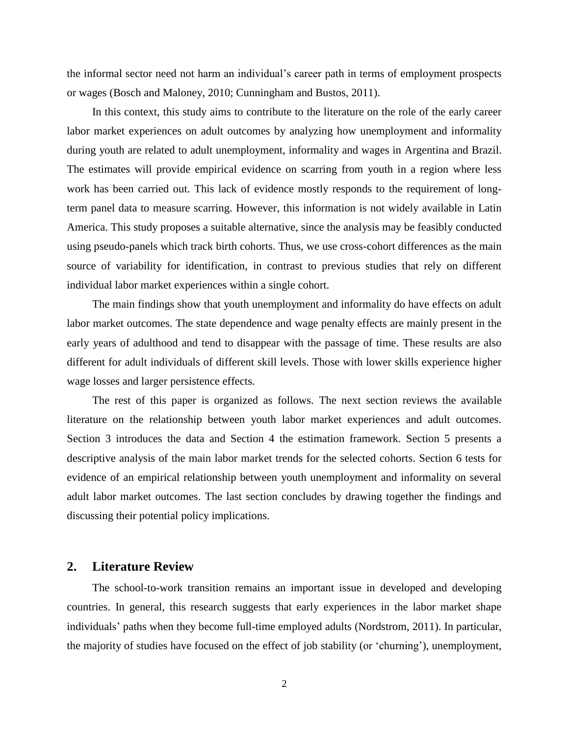the informal sector need not harm an individual"s career path in terms of employment prospects or wages (Bosch and Maloney, 2010; Cunningham and Bustos, 2011).

In this context, this study aims to contribute to the literature on the role of the early career labor market experiences on adult outcomes by analyzing how unemployment and informality during youth are related to adult unemployment, informality and wages in Argentina and Brazil. The estimates will provide empirical evidence on scarring from youth in a region where less work has been carried out. This lack of evidence mostly responds to the requirement of longterm panel data to measure scarring. However, this information is not widely available in Latin America. This study proposes a suitable alternative, since the analysis may be feasibly conducted using pseudo-panels which track birth cohorts. Thus, we use cross-cohort differences as the main source of variability for identification, in contrast to previous studies that rely on different individual labor market experiences within a single cohort.

The main findings show that youth unemployment and informality do have effects on adult labor market outcomes. The state dependence and wage penalty effects are mainly present in the early years of adulthood and tend to disappear with the passage of time. These results are also different for adult individuals of different skill levels. Those with lower skills experience higher wage losses and larger persistence effects.

The rest of this paper is organized as follows. The next section reviews the available literature on the relationship between youth labor market experiences and adult outcomes. Section 3 introduces the data and Section 4 the estimation framework. Section 5 presents a descriptive analysis of the main labor market trends for the selected cohorts. Section 6 tests for evidence of an empirical relationship between youth unemployment and informality on several adult labor market outcomes. The last section concludes by drawing together the findings and discussing their potential policy implications.

# **2. Literature Review**

The school-to-work transition remains an important issue in developed and developing countries. In general, this research suggests that early experiences in the labor market shape individuals" paths when they become full-time employed adults (Nordstrom, 2011). In particular, the majority of studies have focused on the effect of job stability (or "churning"), unemployment,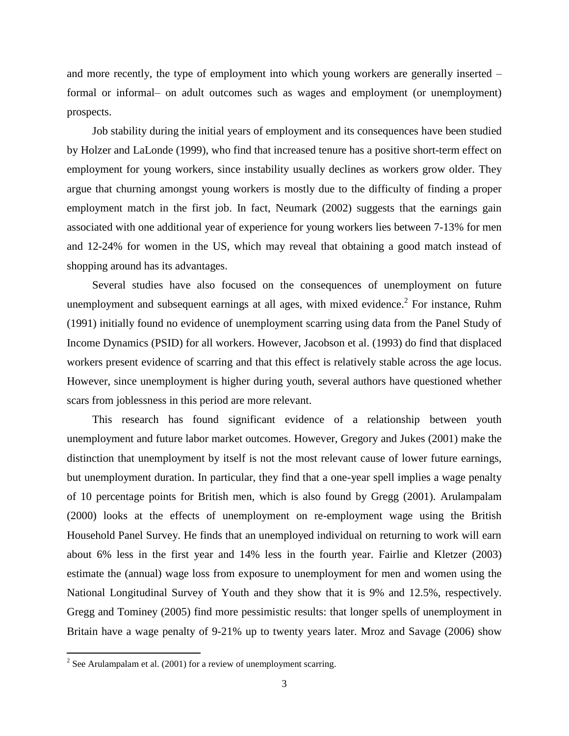and more recently, the type of employment into which young workers are generally inserted – formal or informal– on adult outcomes such as wages and employment (or unemployment) prospects.

Job stability during the initial years of employment and its consequences have been studied by Holzer and LaLonde (1999), who find that increased tenure has a positive short-term effect on employment for young workers, since instability usually declines as workers grow older. They argue that churning amongst young workers is mostly due to the difficulty of finding a proper employment match in the first job. In fact, Neumark (2002) suggests that the earnings gain associated with one additional year of experience for young workers lies between 7-13% for men and 12-24% for women in the US, which may reveal that obtaining a good match instead of shopping around has its advantages.

Several studies have also focused on the consequences of unemployment on future unemployment and subsequent earnings at all ages, with mixed evidence.<sup>2</sup> For instance, Ruhm (1991) initially found no evidence of unemployment scarring using data from the Panel Study of Income Dynamics (PSID) for all workers. However, Jacobson et al. (1993) do find that displaced workers present evidence of scarring and that this effect is relatively stable across the age locus. However, since unemployment is higher during youth, several authors have questioned whether scars from joblessness in this period are more relevant.

This research has found significant evidence of a relationship between youth unemployment and future labor market outcomes. However, Gregory and Jukes (2001) make the distinction that unemployment by itself is not the most relevant cause of lower future earnings, but unemployment duration. In particular, they find that a one-year spell implies a wage penalty of 10 percentage points for British men, which is also found by Gregg (2001). Arulampalam (2000) looks at the effects of unemployment on re-employment wage using the British Household Panel Survey. He finds that an unemployed individual on returning to work will earn about 6% less in the first year and 14% less in the fourth year. Fairlie and Kletzer (2003) estimate the (annual) wage loss from exposure to unemployment for men and women using the National Longitudinal Survey of Youth and they show that it is 9% and 12.5%, respectively. Gregg and Tominey (2005) find more pessimistic results: that longer spells of unemployment in Britain have a wage penalty of 9-21% up to twenty years later. Mroz and Savage (2006) show

 $\overline{a}$ 

<sup>&</sup>lt;sup>2</sup> See Arulampalam et al. (2001) for a review of unemployment scarring.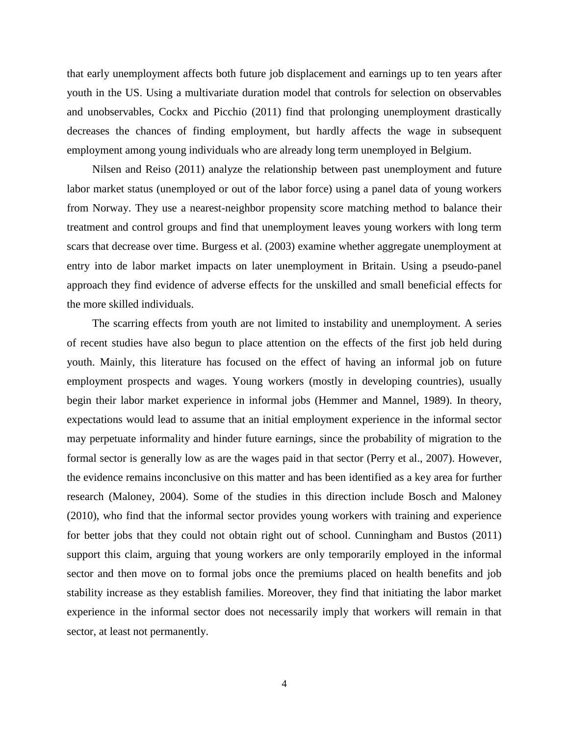that early unemployment affects both future job displacement and earnings up to ten years after youth in the US. Using a multivariate duration model that controls for selection on observables and unobservables, Cockx and Picchio (2011) find that prolonging unemployment drastically decreases the chances of finding employment, but hardly affects the wage in subsequent employment among young individuals who are already long term unemployed in Belgium.

Nilsen and Reiso (2011) analyze the relationship between past unemployment and future labor market status (unemployed or out of the labor force) using a panel data of young workers from Norway. They use a nearest-neighbor propensity score matching method to balance their treatment and control groups and find that unemployment leaves young workers with long term scars that decrease over time. Burgess et al. (2003) examine whether aggregate unemployment at entry into de labor market impacts on later unemployment in Britain. Using a pseudo-panel approach they find evidence of adverse effects for the unskilled and small beneficial effects for the more skilled individuals.

The scarring effects from youth are not limited to instability and unemployment. A series of recent studies have also begun to place attention on the effects of the first job held during youth. Mainly, this literature has focused on the effect of having an informal job on future employment prospects and wages. Young workers (mostly in developing countries), usually begin their labor market experience in informal jobs (Hemmer and Mannel, 1989). In theory, expectations would lead to assume that an initial employment experience in the informal sector may perpetuate informality and hinder future earnings, since the probability of migration to the formal sector is generally low as are the wages paid in that sector (Perry et al., 2007). However, the evidence remains inconclusive on this matter and has been identified as a key area for further research (Maloney, 2004). Some of the studies in this direction include Bosch and Maloney (2010), who find that the informal sector provides young workers with training and experience for better jobs that they could not obtain right out of school. Cunningham and Bustos (2011) support this claim, arguing that young workers are only temporarily employed in the informal sector and then move on to formal jobs once the premiums placed on health benefits and job stability increase as they establish families. Moreover, they find that initiating the labor market experience in the informal sector does not necessarily imply that workers will remain in that sector, at least not permanently.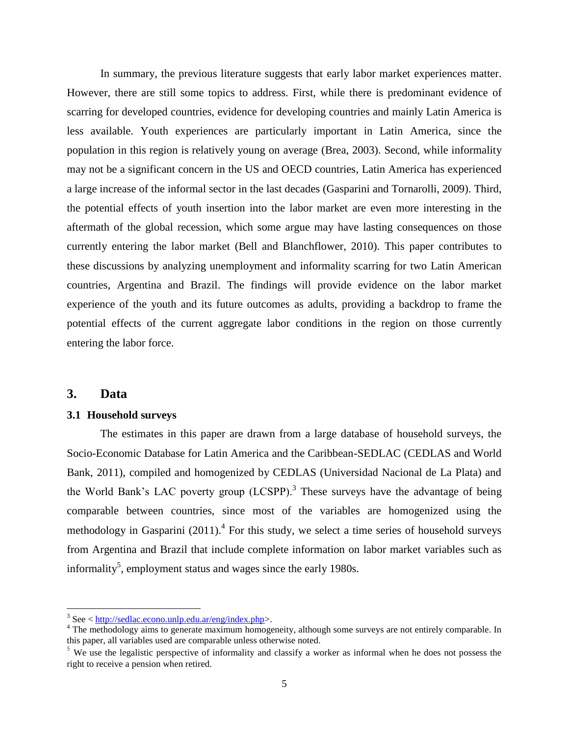In summary, the previous literature suggests that early labor market experiences matter. However, there are still some topics to address. First, while there is predominant evidence of scarring for developed countries, evidence for developing countries and mainly Latin America is less available. Youth experiences are particularly important in Latin America, since the population in this region is relatively young on average (Brea, 2003). Second, while informality may not be a significant concern in the US and OECD countries, Latin America has experienced a large increase of the informal sector in the last decades (Gasparini and Tornarolli, 2009). Third, the potential effects of youth insertion into the labor market are even more interesting in the aftermath of the global recession, which some argue may have lasting consequences on those currently entering the labor market (Bell and Blanchflower, 2010). This paper contributes to these discussions by analyzing unemployment and informality scarring for two Latin American countries, Argentina and Brazil. The findings will provide evidence on the labor market experience of the youth and its future outcomes as adults, providing a backdrop to frame the potential effects of the current aggregate labor conditions in the region on those currently entering the labor force.

# **3. Data**

 $\overline{a}$ 

## **3.1 Household surveys**

The estimates in this paper are drawn from a large database of household surveys, the Socio-Economic Database for Latin America and the Caribbean-SEDLAC (CEDLAS and World Bank, 2011), compiled and homogenized by CEDLAS (Universidad Nacional de La Plata) and the World Bank's LAC poverty group  $(LCSPP)$ .<sup>3</sup> These surveys have the advantage of being comparable between countries, since most of the variables are homogenized using the methodology in Gasparini  $(2011)$ .<sup>4</sup> For this study, we select a time series of household surveys from Argentina and Brazil that include complete information on labor market variables such as informality<sup>5</sup>, employment status and wages since the early 1980s.

 $3$  See  $\langle \frac{http://sedlac.econo.unlp.edu.ar/eng/index.php>}{http://sedlac.econo.unlp.edu.ar/eng/index.php>}.$  $\langle \frac{http://sedlac.econo.unlp.edu.ar/eng/index.php>}{http://sedlac.econo.unlp.edu.ar/eng/index.php>}.$  $\langle \frac{http://sedlac.econo.unlp.edu.ar/eng/index.php>}{http://sedlac.econo.unlp.edu.ar/eng/index.php>}.$ 

<sup>&</sup>lt;sup>4</sup> The methodology aims to generate maximum homogeneity, although some surveys are not entirely comparable. In this paper, all variables used are comparable unless otherwise noted.

<sup>&</sup>lt;sup>5</sup> We use the legalistic perspective of informality and classify a worker as informal when he does not possess the right to receive a pension when retired.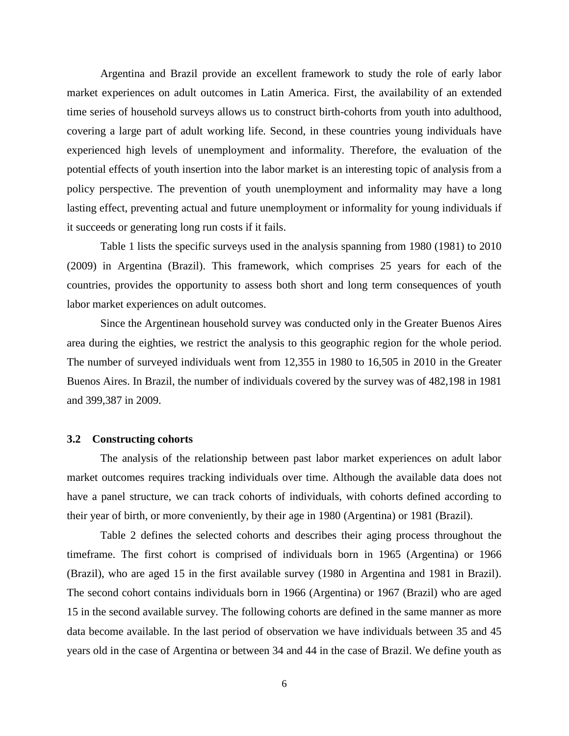Argentina and Brazil provide an excellent framework to study the role of early labor market experiences on adult outcomes in Latin America. First, the availability of an extended time series of household surveys allows us to construct birth-cohorts from youth into adulthood, covering a large part of adult working life. Second, in these countries young individuals have experienced high levels of unemployment and informality. Therefore, the evaluation of the potential effects of youth insertion into the labor market is an interesting topic of analysis from a policy perspective. The prevention of youth unemployment and informality may have a long lasting effect, preventing actual and future unemployment or informality for young individuals if it succeeds or generating long run costs if it fails.

Table 1 lists the specific surveys used in the analysis spanning from 1980 (1981) to 2010 (2009) in Argentina (Brazil). This framework, which comprises 25 years for each of the countries, provides the opportunity to assess both short and long term consequences of youth labor market experiences on adult outcomes.

Since the Argentinean household survey was conducted only in the Greater Buenos Aires area during the eighties, we restrict the analysis to this geographic region for the whole period. The number of surveyed individuals went from 12,355 in 1980 to 16,505 in 2010 in the Greater Buenos Aires. In Brazil, the number of individuals covered by the survey was of 482,198 in 1981 and 399,387 in 2009.

#### **3.2 Constructing cohorts**

The analysis of the relationship between past labor market experiences on adult labor market outcomes requires tracking individuals over time. Although the available data does not have a panel structure, we can track cohorts of individuals, with cohorts defined according to their year of birth, or more conveniently, by their age in 1980 (Argentina) or 1981 (Brazil).

Table 2 defines the selected cohorts and describes their aging process throughout the timeframe. The first cohort is comprised of individuals born in 1965 (Argentina) or 1966 (Brazil), who are aged 15 in the first available survey (1980 in Argentina and 1981 in Brazil). The second cohort contains individuals born in 1966 (Argentina) or 1967 (Brazil) who are aged 15 in the second available survey. The following cohorts are defined in the same manner as more data become available. In the last period of observation we have individuals between 35 and 45 years old in the case of Argentina or between 34 and 44 in the case of Brazil. We define youth as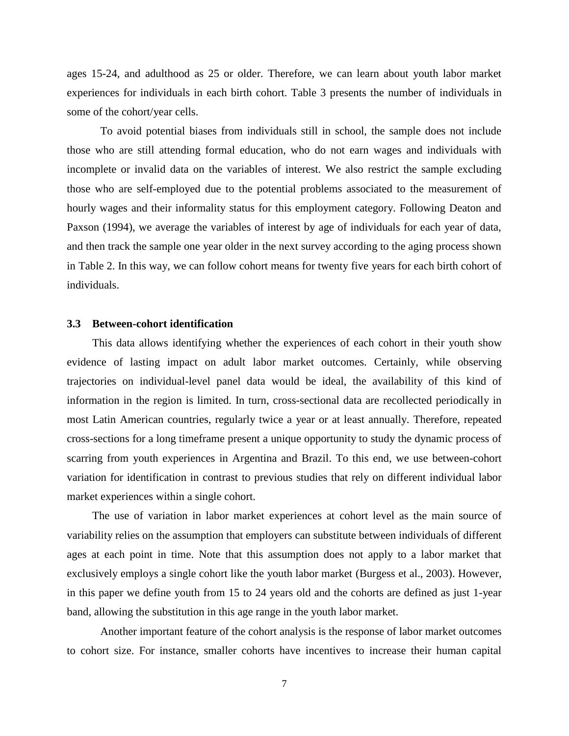ages 15-24, and adulthood as 25 or older. Therefore, we can learn about youth labor market experiences for individuals in each birth cohort. Table 3 presents the number of individuals in some of the cohort/year cells.

To avoid potential biases from individuals still in school, the sample does not include those who are still attending formal education, who do not earn wages and individuals with incomplete or invalid data on the variables of interest. We also restrict the sample excluding those who are self-employed due to the potential problems associated to the measurement of hourly wages and their informality status for this employment category. Following Deaton and Paxson (1994), we average the variables of interest by age of individuals for each year of data, and then track the sample one year older in the next survey according to the aging process shown in Table 2. In this way, we can follow cohort means for twenty five years for each birth cohort of individuals.

#### **3.3 Between-cohort identification**

This data allows identifying whether the experiences of each cohort in their youth show evidence of lasting impact on adult labor market outcomes. Certainly, while observing trajectories on individual-level panel data would be ideal, the availability of this kind of information in the region is limited. In turn, cross-sectional data are recollected periodically in most Latin American countries, regularly twice a year or at least annually. Therefore, repeated cross-sections for a long timeframe present a unique opportunity to study the dynamic process of scarring from youth experiences in Argentina and Brazil. To this end, we use between-cohort variation for identification in contrast to previous studies that rely on different individual labor market experiences within a single cohort.

The use of variation in labor market experiences at cohort level as the main source of variability relies on the assumption that employers can substitute between individuals of different ages at each point in time. Note that this assumption does not apply to a labor market that exclusively employs a single cohort like the youth labor market (Burgess et al., 2003). However, in this paper we define youth from 15 to 24 years old and the cohorts are defined as just 1-year band, allowing the substitution in this age range in the youth labor market.

Another important feature of the cohort analysis is the response of labor market outcomes to cohort size. For instance, smaller cohorts have incentives to increase their human capital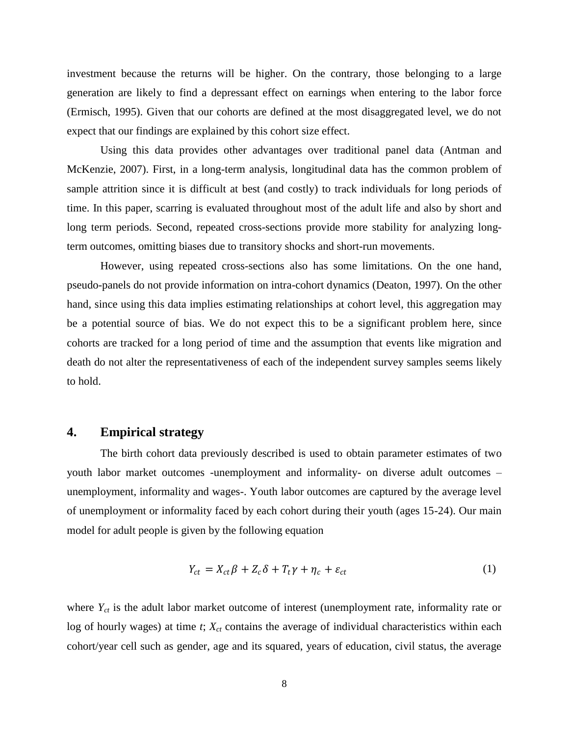investment because the returns will be higher. On the contrary, those belonging to a large generation are likely to find a depressant effect on earnings when entering to the labor force (Ermisch, 1995). Given that our cohorts are defined at the most disaggregated level, we do not expect that our findings are explained by this cohort size effect.

Using this data provides other advantages over traditional panel data (Antman and McKenzie, 2007). First, in a long-term analysis, longitudinal data has the common problem of sample attrition since it is difficult at best (and costly) to track individuals for long periods of time. In this paper, scarring is evaluated throughout most of the adult life and also by short and long term periods. Second, repeated cross-sections provide more stability for analyzing longterm outcomes, omitting biases due to transitory shocks and short-run movements.

However, using repeated cross-sections also has some limitations. On the one hand, pseudo-panels do not provide information on intra-cohort dynamics (Deaton, 1997). On the other hand, since using this data implies estimating relationships at cohort level, this aggregation may be a potential source of bias. We do not expect this to be a significant problem here, since cohorts are tracked for a long period of time and the assumption that events like migration and death do not alter the representativeness of each of the independent survey samples seems likely to hold.

# **4. Empirical strategy**

The birth cohort data previously described is used to obtain parameter estimates of two youth labor market outcomes -unemployment and informality- on diverse adult outcomes – unemployment, informality and wages-. Youth labor outcomes are captured by the average level of unemployment or informality faced by each cohort during their youth (ages 15-24). Our main model for adult people is given by the following equation

$$
Y_{ct} = X_{ct}\beta + Z_c\delta + T_t\gamma + \eta_c + \varepsilon_{ct}
$$
 (1)

where  $Y_{ct}$  is the adult labor market outcome of interest (unemployment rate, informality rate or log of hourly wages) at time *t*;  $X_{ct}$  contains the average of individual characteristics within each cohort/year cell such as gender, age and its squared, years of education, civil status, the average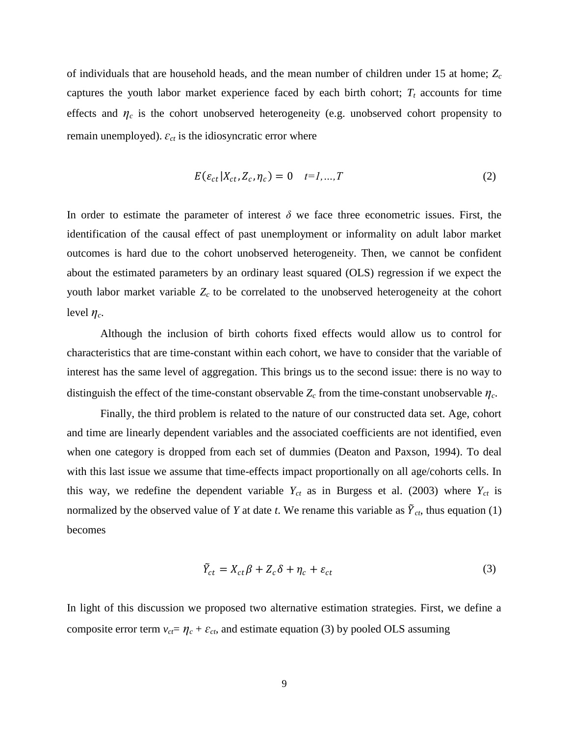of individuals that are household heads, and the mean number of children under 15 at home; *Z<sup>c</sup>* captures the youth labor market experience faced by each birth cohort;  $T_t$  accounts for time effects and  $\eta_c$  is the cohort unobserved heterogeneity (e.g. unobserved cohort propensity to remain unemployed). *ɛct* is the idiosyncratic error where

$$
E(\varepsilon_{ct}|X_{ct}, Z_c, \eta_c) = 0 \quad t=1,...,T
$$

In order to estimate the parameter of interest  $\delta$  we face three econometric issues. First, the identification of the causal effect of past unemployment or informality on adult labor market outcomes is hard due to the cohort unobserved heterogeneity. Then, we cannot be confident about the estimated parameters by an ordinary least squared (OLS) regression if we expect the youth labor market variable *Zc* to be correlated to the unobserved heterogeneity at the cohort level  $\eta_c$ .

Although the inclusion of birth cohorts fixed effects would allow us to control for characteristics that are time-constant within each cohort, we have to consider that the variable of interest has the same level of aggregation. This brings us to the second issue: there is no way to distinguish the effect of the time-constant observable  $Z_c$  from the time-constant unobservable  $\eta_c$ .

Finally, the third problem is related to the nature of our constructed data set. Age, cohort and time are linearly dependent variables and the associated coefficients are not identified, even when one category is dropped from each set of dummies (Deaton and Paxson, 1994). To deal with this last issue we assume that time-effects impact proportionally on all age/cohorts cells. In this way, we redefine the dependent variable  $Y_{ct}$  as in Burgess et al. (2003) where  $Y_{ct}$  is normalized by the observed value of *Y* at date *t*. We rename this variable as  $\tilde{Y}_{ct}$ , thus equation (1) becomes

$$
\tilde{Y}_{ct} = X_{ct}\beta + Z_c\delta + \eta_c + \varepsilon_{ct}
$$
\n(3)

In light of this discussion we proposed two alternative estimation strategies. First, we define a composite error term  $v_{ct} = \eta_c + \varepsilon_{ct}$ , and estimate equation (3) by pooled OLS assuming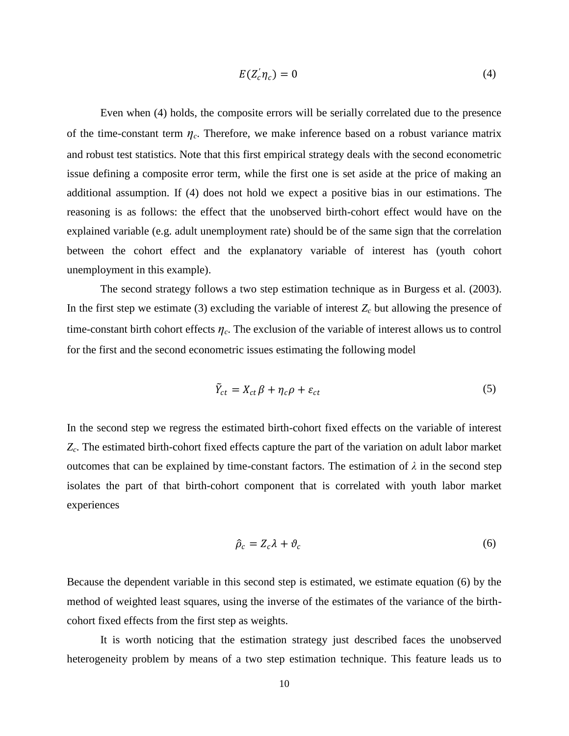$$
E(Z_c^{\prime}\eta_c)=0\tag{4}
$$

Even when (4) holds, the composite errors will be serially correlated due to the presence of the time-constant term  $\eta_c$ . Therefore, we make inference based on a robust variance matrix and robust test statistics. Note that this first empirical strategy deals with the second econometric issue defining a composite error term, while the first one is set aside at the price of making an additional assumption. If (4) does not hold we expect a positive bias in our estimations. The reasoning is as follows: the effect that the unobserved birth-cohort effect would have on the explained variable (e.g. adult unemployment rate) should be of the same sign that the correlation between the cohort effect and the explanatory variable of interest has (youth cohort unemployment in this example).

The second strategy follows a two step estimation technique as in Burgess et al. (2003). In the first step we estimate (3) excluding the variable of interest  $Z_c$  but allowing the presence of time-constant birth cohort effects *ηc*. The exclusion of the variable of interest allows us to control for the first and the second econometric issues estimating the following model

$$
\tilde{Y}_{ct} = X_{ct}\beta + \eta_c\rho + \varepsilon_{ct} \tag{5}
$$

In the second step we regress the estimated birth-cohort fixed effects on the variable of interest *Zc*. The estimated birth-cohort fixed effects capture the part of the variation on adult labor market outcomes that can be explained by time-constant factors. The estimation of  $\lambda$  in the second step isolates the part of that birth-cohort component that is correlated with youth labor market experiences

$$
\hat{\rho}_c = Z_c \lambda + \vartheta_c \tag{6}
$$

Because the dependent variable in this second step is estimated, we estimate equation (6) by the method of weighted least squares, using the inverse of the estimates of the variance of the birthcohort fixed effects from the first step as weights.

It is worth noticing that the estimation strategy just described faces the unobserved heterogeneity problem by means of a two step estimation technique. This feature leads us to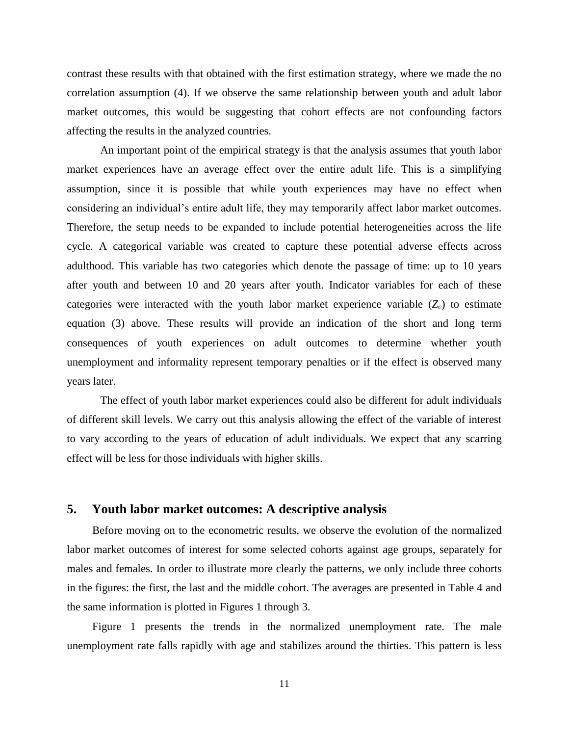contrast these results with that obtained with the first estimation strategy, where we made the no correlation assumption (4). If we observe the same relationship between youth and adult labor market outcomes, this would be suggesting that cohort effects are not confounding factors affecting the results in the analyzed countries.

An important point of the empirical strategy is that the analysis assumes that youth labor market experiences have an average effect over the entire adult life. This is a simplifying assumption, since it is possible that while youth experiences may have no effect when considering an individual"s entire adult life, they may temporarily affect labor market outcomes. Therefore, the setup needs to be expanded to include potential heterogeneities across the life cycle. A categorical variable was created to capture these potential adverse effects across adulthood. This variable has two categories which denote the passage of time: up to 10 years after youth and between 10 and 20 years after youth. Indicator variables for each of these categories were interacted with the youth labor market experience variable  $(Z_c)$  to estimate equation (3) above. These results will provide an indication of the short and long term consequences of youth experiences on adult outcomes to determine whether youth unemployment and informality represent temporary penalties or if the effect is observed many years later.

The effect of youth labor market experiences could also be different for adult individuals of different skill levels. We carry out this analysis allowing the effect of the variable of interest to vary according to the years of education of adult individuals. We expect that any scarring effect will be less for those individuals with higher skills.

# **5. Youth labor market outcomes: A descriptive analysis**

Before moving on to the econometric results, we observe the evolution of the normalized labor market outcomes of interest for some selected cohorts against age groups, separately for males and females. In order to illustrate more clearly the patterns, we only include three cohorts in the figures: the first, the last and the middle cohort. The averages are presented in Table 4 and the same information is plotted in Figures 1 through 3.

Figure 1 presents the trends in the normalized unemployment rate. The male unemployment rate falls rapidly with age and stabilizes around the thirties. This pattern is less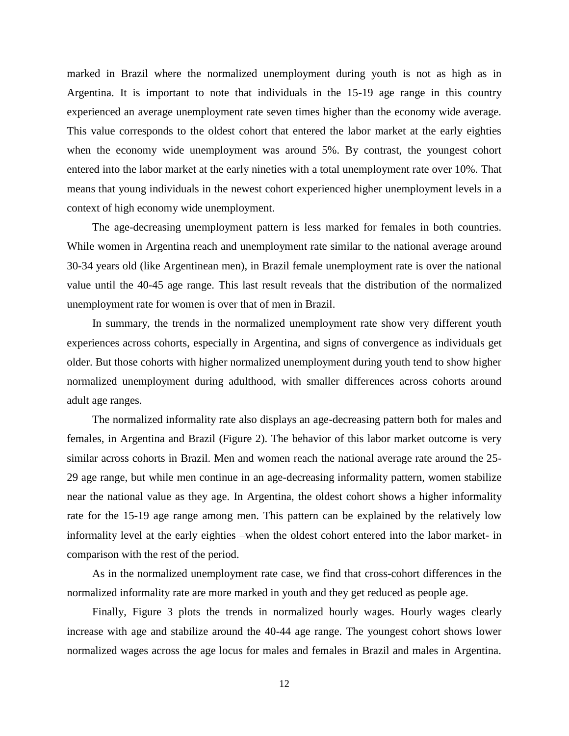marked in Brazil where the normalized unemployment during youth is not as high as in Argentina. It is important to note that individuals in the 15-19 age range in this country experienced an average unemployment rate seven times higher than the economy wide average. This value corresponds to the oldest cohort that entered the labor market at the early eighties when the economy wide unemployment was around 5%. By contrast, the youngest cohort entered into the labor market at the early nineties with a total unemployment rate over 10%. That means that young individuals in the newest cohort experienced higher unemployment levels in a context of high economy wide unemployment.

The age-decreasing unemployment pattern is less marked for females in both countries. While women in Argentina reach and unemployment rate similar to the national average around 30-34 years old (like Argentinean men), in Brazil female unemployment rate is over the national value until the 40-45 age range. This last result reveals that the distribution of the normalized unemployment rate for women is over that of men in Brazil.

In summary, the trends in the normalized unemployment rate show very different youth experiences across cohorts, especially in Argentina, and signs of convergence as individuals get older. But those cohorts with higher normalized unemployment during youth tend to show higher normalized unemployment during adulthood, with smaller differences across cohorts around adult age ranges.

The normalized informality rate also displays an age-decreasing pattern both for males and females, in Argentina and Brazil (Figure 2). The behavior of this labor market outcome is very similar across cohorts in Brazil. Men and women reach the national average rate around the 25- 29 age range, but while men continue in an age-decreasing informality pattern, women stabilize near the national value as they age. In Argentina, the oldest cohort shows a higher informality rate for the 15-19 age range among men. This pattern can be explained by the relatively low informality level at the early eighties –when the oldest cohort entered into the labor market- in comparison with the rest of the period.

As in the normalized unemployment rate case, we find that cross-cohort differences in the normalized informality rate are more marked in youth and they get reduced as people age.

Finally, Figure 3 plots the trends in normalized hourly wages. Hourly wages clearly increase with age and stabilize around the 40-44 age range. The youngest cohort shows lower normalized wages across the age locus for males and females in Brazil and males in Argentina.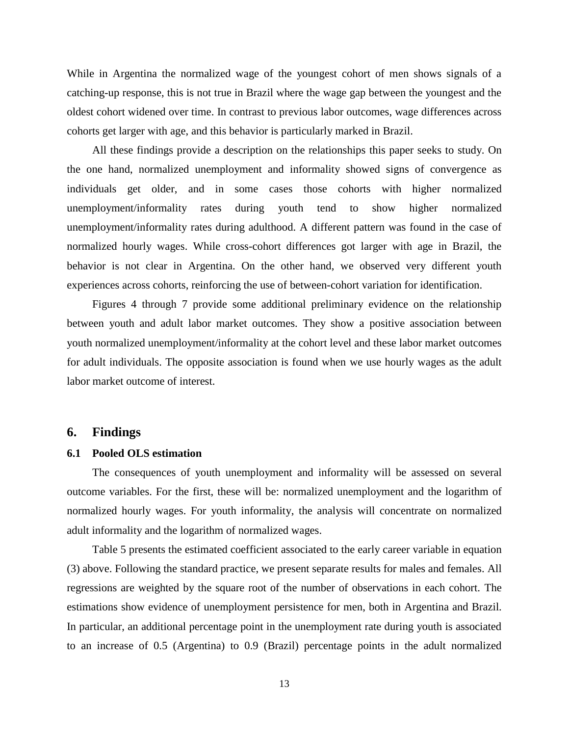While in Argentina the normalized wage of the youngest cohort of men shows signals of a catching-up response, this is not true in Brazil where the wage gap between the youngest and the oldest cohort widened over time. In contrast to previous labor outcomes, wage differences across cohorts get larger with age, and this behavior is particularly marked in Brazil.

All these findings provide a description on the relationships this paper seeks to study. On the one hand, normalized unemployment and informality showed signs of convergence as individuals get older, and in some cases those cohorts with higher normalized unemployment/informality rates during youth tend to show higher normalized unemployment/informality rates during adulthood. A different pattern was found in the case of normalized hourly wages. While cross-cohort differences got larger with age in Brazil, the behavior is not clear in Argentina. On the other hand, we observed very different youth experiences across cohorts, reinforcing the use of between-cohort variation for identification.

Figures 4 through 7 provide some additional preliminary evidence on the relationship between youth and adult labor market outcomes. They show a positive association between youth normalized unemployment/informality at the cohort level and these labor market outcomes for adult individuals. The opposite association is found when we use hourly wages as the adult labor market outcome of interest.

# **6. Findings**

#### **6.1 Pooled OLS estimation**

The consequences of youth unemployment and informality will be assessed on several outcome variables. For the first, these will be: normalized unemployment and the logarithm of normalized hourly wages. For youth informality, the analysis will concentrate on normalized adult informality and the logarithm of normalized wages.

Table 5 presents the estimated coefficient associated to the early career variable in equation (3) above. Following the standard practice, we present separate results for males and females. All regressions are weighted by the square root of the number of observations in each cohort. The estimations show evidence of unemployment persistence for men, both in Argentina and Brazil. In particular, an additional percentage point in the unemployment rate during youth is associated to an increase of 0.5 (Argentina) to 0.9 (Brazil) percentage points in the adult normalized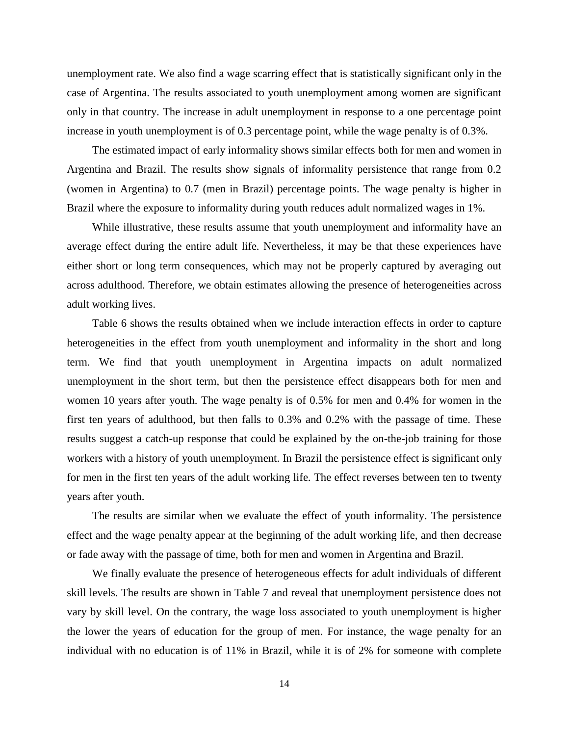unemployment rate. We also find a wage scarring effect that is statistically significant only in the case of Argentina. The results associated to youth unemployment among women are significant only in that country. The increase in adult unemployment in response to a one percentage point increase in youth unemployment is of 0.3 percentage point, while the wage penalty is of 0.3%.

The estimated impact of early informality shows similar effects both for men and women in Argentina and Brazil. The results show signals of informality persistence that range from 0.2 (women in Argentina) to 0.7 (men in Brazil) percentage points. The wage penalty is higher in Brazil where the exposure to informality during youth reduces adult normalized wages in 1%.

While illustrative, these results assume that youth unemployment and informality have an average effect during the entire adult life. Nevertheless, it may be that these experiences have either short or long term consequences, which may not be properly captured by averaging out across adulthood. Therefore, we obtain estimates allowing the presence of heterogeneities across adult working lives.

Table 6 shows the results obtained when we include interaction effects in order to capture heterogeneities in the effect from youth unemployment and informality in the short and long term. We find that youth unemployment in Argentina impacts on adult normalized unemployment in the short term, but then the persistence effect disappears both for men and women 10 years after youth. The wage penalty is of 0.5% for men and 0.4% for women in the first ten years of adulthood, but then falls to 0.3% and 0.2% with the passage of time. These results suggest a catch-up response that could be explained by the on-the-job training for those workers with a history of youth unemployment. In Brazil the persistence effect is significant only for men in the first ten years of the adult working life. The effect reverses between ten to twenty years after youth.

The results are similar when we evaluate the effect of youth informality. The persistence effect and the wage penalty appear at the beginning of the adult working life, and then decrease or fade away with the passage of time, both for men and women in Argentina and Brazil.

We finally evaluate the presence of heterogeneous effects for adult individuals of different skill levels. The results are shown in Table 7 and reveal that unemployment persistence does not vary by skill level. On the contrary, the wage loss associated to youth unemployment is higher the lower the years of education for the group of men. For instance, the wage penalty for an individual with no education is of 11% in Brazil, while it is of 2% for someone with complete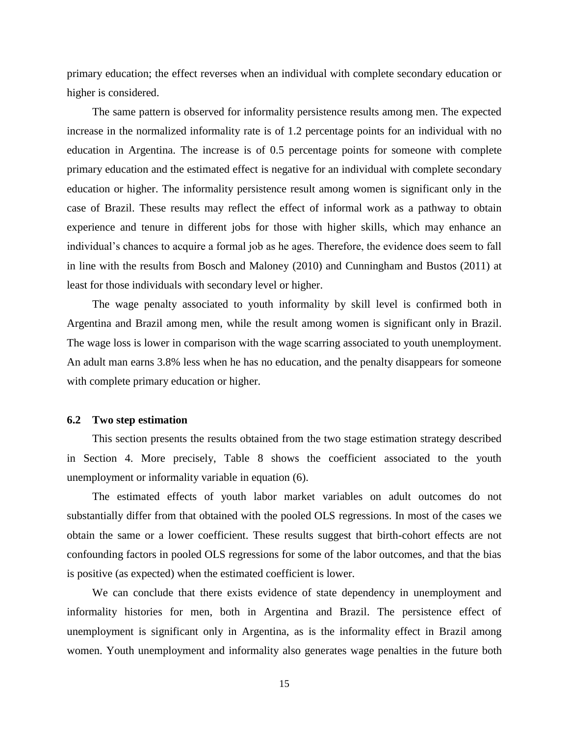primary education; the effect reverses when an individual with complete secondary education or higher is considered.

The same pattern is observed for informality persistence results among men. The expected increase in the normalized informality rate is of 1.2 percentage points for an individual with no education in Argentina. The increase is of 0.5 percentage points for someone with complete primary education and the estimated effect is negative for an individual with complete secondary education or higher. The informality persistence result among women is significant only in the case of Brazil. These results may reflect the effect of informal work as a pathway to obtain experience and tenure in different jobs for those with higher skills, which may enhance an individual's chances to acquire a formal job as he ages. Therefore, the evidence does seem to fall in line with the results from Bosch and Maloney (2010) and Cunningham and Bustos (2011) at least for those individuals with secondary level or higher.

The wage penalty associated to youth informality by skill level is confirmed both in Argentina and Brazil among men, while the result among women is significant only in Brazil. The wage loss is lower in comparison with the wage scarring associated to youth unemployment. An adult man earns 3.8% less when he has no education, and the penalty disappears for someone with complete primary education or higher.

### **6.2 Two step estimation**

This section presents the results obtained from the two stage estimation strategy described in Section 4. More precisely, Table 8 shows the coefficient associated to the youth unemployment or informality variable in equation (6).

The estimated effects of youth labor market variables on adult outcomes do not substantially differ from that obtained with the pooled OLS regressions. In most of the cases we obtain the same or a lower coefficient. These results suggest that birth-cohort effects are not confounding factors in pooled OLS regressions for some of the labor outcomes, and that the bias is positive (as expected) when the estimated coefficient is lower.

We can conclude that there exists evidence of state dependency in unemployment and informality histories for men, both in Argentina and Brazil. The persistence effect of unemployment is significant only in Argentina, as is the informality effect in Brazil among women. Youth unemployment and informality also generates wage penalties in the future both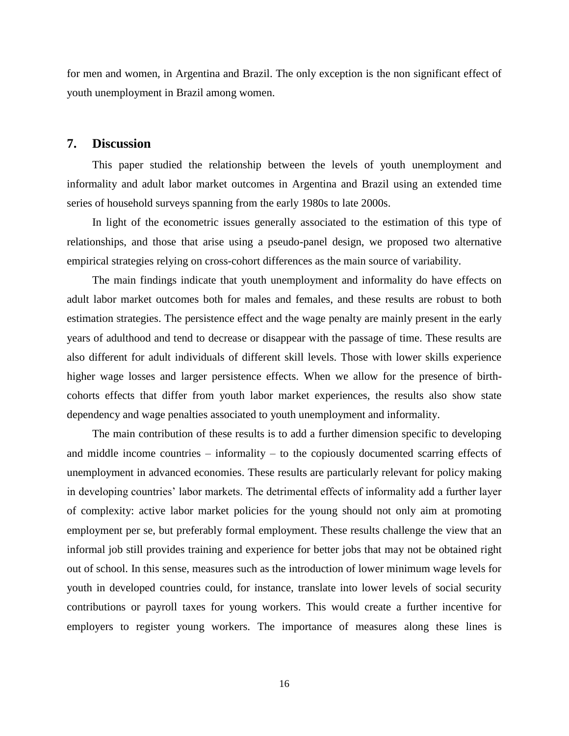for men and women, in Argentina and Brazil. The only exception is the non significant effect of youth unemployment in Brazil among women.

# **7. Discussion**

This paper studied the relationship between the levels of youth unemployment and informality and adult labor market outcomes in Argentina and Brazil using an extended time series of household surveys spanning from the early 1980s to late 2000s.

In light of the econometric issues generally associated to the estimation of this type of relationships, and those that arise using a pseudo-panel design, we proposed two alternative empirical strategies relying on cross-cohort differences as the main source of variability.

The main findings indicate that youth unemployment and informality do have effects on adult labor market outcomes both for males and females, and these results are robust to both estimation strategies. The persistence effect and the wage penalty are mainly present in the early years of adulthood and tend to decrease or disappear with the passage of time. These results are also different for adult individuals of different skill levels. Those with lower skills experience higher wage losses and larger persistence effects. When we allow for the presence of birthcohorts effects that differ from youth labor market experiences, the results also show state dependency and wage penalties associated to youth unemployment and informality.

The main contribution of these results is to add a further dimension specific to developing and middle income countries – informality – to the copiously documented scarring effects of unemployment in advanced economies. These results are particularly relevant for policy making in developing countries' labor markets. The detrimental effects of informality add a further layer of complexity: active labor market policies for the young should not only aim at promoting employment per se, but preferably formal employment. These results challenge the view that an informal job still provides training and experience for better jobs that may not be obtained right out of school. In this sense, measures such as the introduction of lower minimum wage levels for youth in developed countries could, for instance, translate into lower levels of social security contributions or payroll taxes for young workers. This would create a further incentive for employers to register young workers. The importance of measures along these lines is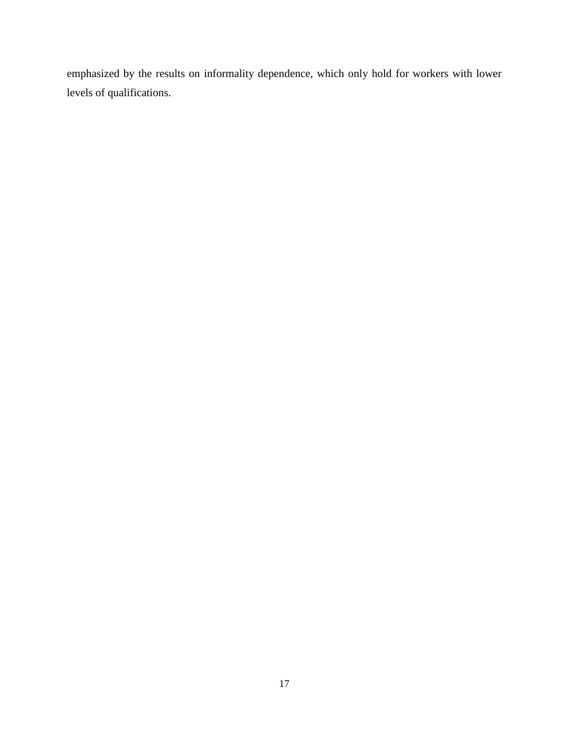emphasized by the results on informality dependence, which only hold for workers with lower levels of qualifications.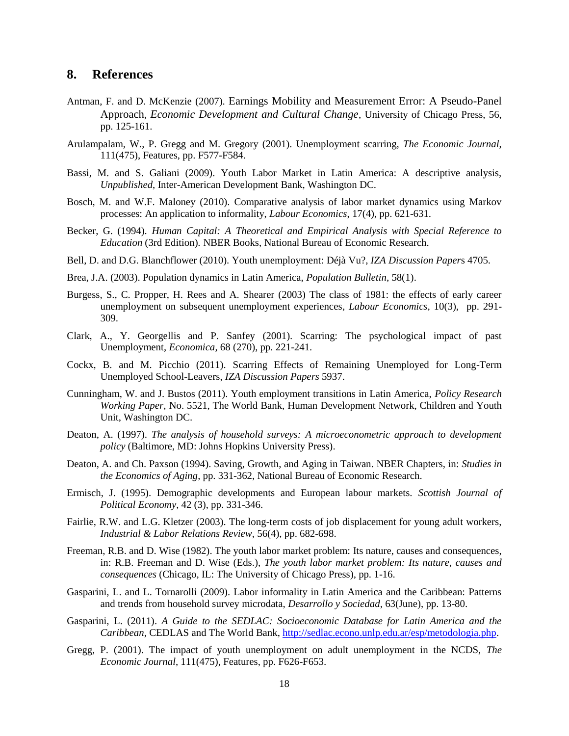# **8. References**

- Antman, F. and D. McKenzie (2007). [Earnings Mobility and Measurement Error: A Pseudo-Panel](http://ideas.repec.org/a/ucp/ecdecc/v56y2007p125-161.html)  [Approach](http://ideas.repec.org/a/ucp/ecdecc/v56y2007p125-161.html), *[Economic Development and Cultural Change](http://ideas.repec.org/s/ucp/ecdecc.html)*, University of Chicago Press, 56, pp. 125-161.
- Arulampalam, W., P. Gregg and M. Gregory (2001). Unemployment scarring, *The Economic Journal*, 111(475), Features, pp. F577-F584.
- Bassi, M. and S. Galiani (2009). Youth Labor Market in Latin America: A descriptive analysis, *Unpublished*, Inter-American Development Bank, Washington DC.
- Bosch, M. and W.F. Maloney (2010). Comparative analysis of labor market dynamics using Markov processes: An application to informality, *Labour Economics*, 17(4), pp. 621-631.
- Becker, G. (1994)*. [Human Capital: A Theoretical and Empirical Analysis with Special Reference to](http://ideas.repec.org/b/nbr/nberbk/beck94-1.html)  Education* [\(3rd Edition\)](http://ideas.repec.org/b/nbr/nberbk/beck94-1.html)*.* [NBER Books,](http://ideas.repec.org/s/nbr/nberbk.html) National Bureau of Economic Research.
- Bell, D. and D.G. Blanchflower (2010). Youth unemployment: Déjà Vu?, *IZA Discussion Paper*s 4705.
- Brea, J.A. (2003). Population dynamics in Latin America, *Population Bulletin*, 58(1).
- Burgess, S., C. Propper, H. Rees and A. Shearer (2003) [The class of 1981: the effects of early career](http://ideas.repec.org/a/eee/labeco/v10y2003i3p291-309.html)  [unemployment on subsequent unemployment experiences,](http://ideas.repec.org/a/eee/labeco/v10y2003i3p291-309.html) *[Labour Economics](http://ideas.repec.org/s/eee/labeco.html)*, 10(3), pp. 291- 309.
- Clark, A., Y. Georgellis and P. Sanfey (2001). Scarring: The psychological impact of past Unemployment, *Economica*, 68 (270), pp. 221-241.
- Cockx, B. and M. Picchio (2011). [Scarring Effects of Remaining Unemployed for Long-Term](http://ideas.repec.org/p/iza/izadps/dp5937.html)  [Unemployed School-Leavers,](http://ideas.repec.org/p/iza/izadps/dp5937.html) *[IZA Discussion Papers](http://ideas.repec.org/s/iza/izadps.html)* 5937.
- Cunningham, W. and J. Bustos (2011). Youth employment transitions in Latin America, *Policy Research Working Paper*, No. 5521, The World Bank, Human Development Network, Children and Youth Unit, Washington DC.
- Deaton, A. (1997). *The analysis of household surveys: A microeconometric approach to development policy* (Baltimore, MD: Johns Hopkins University Press).
- Deaton, A. and Ch. Paxson (1994). [Saving, Growth, and Aging in Taiwan.](http://ideas.repec.org/h/nbr/nberch/7349.html) [NBER Chapters,](http://ideas.repec.org/s/nbr/nberch.html) in: *Studies in the Economics of Aging*, pp. 331-362, National Bureau of Economic Research.
- Ermisch, J. (1995). Demographic developments and European labour markets. *Scottish Journal of Political Economy*, 42 (3), pp. 331-346.
- Fairlie, R.W. and L.G. Kletzer (2003). The long-term costs of job displacement for young adult workers, *Industrial & Labor Relations Review*, 56(4), pp. 682-698.
- Freeman, R.B. and D. Wise (1982). The youth labor market problem: Its nature, causes and consequences, in: R.B. Freeman and D. Wise (Eds.), *The youth labor market problem: Its nature, causes and consequences* (Chicago, IL: The University of Chicago Press), pp. 1-16.
- Gasparini, L. and L. Tornarolli (2009). Labor informality in Latin America and the Caribbean: Patterns and trends from household survey microdata, *Desarrollo y Sociedad*, 63(June), pp. 13-80.
- Gasparini, L. (2011). *A Guide to the SEDLAC: Socioeconomic Database for Latin America and the Caribbean*, CEDLAS and The World Bank, [http://sedlac.econo.unlp.edu.ar/esp/metodologia.php.](http://sedlac.econo.unlp.edu.ar/esp/metodologia.php)
- Gregg, P. (2001). The impact of youth unemployment on adult unemployment in the NCDS, *The Economic Journal*, 111(475), Features, pp. F626-F653.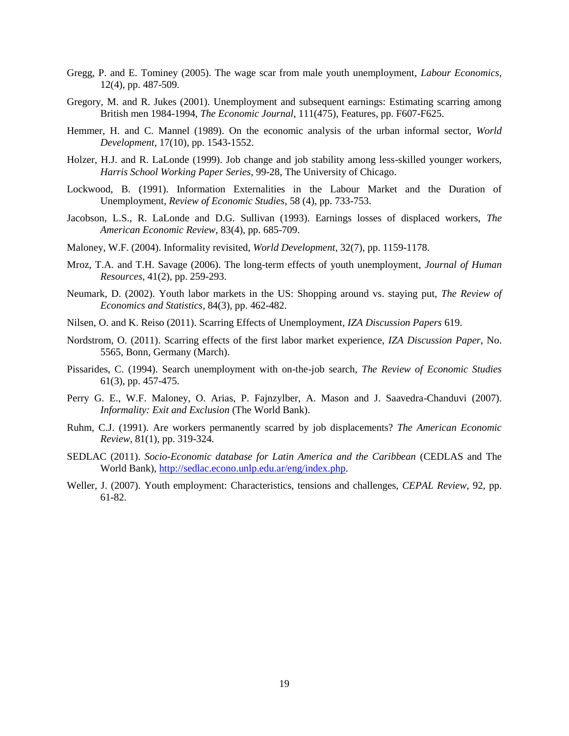- Gregg, P. and E. Tominey (2005). The wage scar from male youth unemployment, *Labour Economics*, 12(4), pp. 487-509.
- Gregory, M. and R. Jukes (2001). Unemployment and subsequent earnings: Estimating scarring among British men 1984-1994, *The Economic Journal*, 111(475), Features, pp. F607-F625.
- Hemmer, H. and C. Mannel (1989). On the economic analysis of the urban informal sector, *World Development*, 17(10), pp. 1543-1552.
- Holzer, H.J. and R. LaLonde (1999). Job change and job stability among less-skilled younger workers, *Harris School Working Paper Series*, 99-28, The University of Chicago.
- Lockwood, B. (1991). Information Externalities in the Labour Market and the Duration of Unemployment, *Review of Economic Studies*, 58 (4), pp. 733-753.
- Jacobson, L.S., R. LaLonde and D.G. Sullivan (1993). Earnings losses of displaced workers, *The American Economic Review*, 83(4), pp. 685-709.
- Maloney, W.F. (2004). Informality revisited, *World Development*, 32(7), pp. 1159-1178.
- Mroz, T.A. and T.H. Savage (2006). The long-term effects of youth unemployment, *Journal of Human Resources*, 41(2), pp. 259-293.
- Neumark, D. (2002). Youth labor markets in the US: Shopping around vs. staying put, *The Review of Economics and Statistics*, 84(3), pp. 462-482.
- Nilsen, O. and K. Reiso (2011). [Scarring Effects of Unemployment,](http://ideas.repec.org/p/iza/izadps/dp6198.html) *[IZA Discussion Papers](http://ideas.repec.org/s/iza/izadps.html)* 619.
- Nordstrom, O. (2011). Scarring effects of the first labor market experience, *IZA Discussion Paper*, No. 5565, Bonn, Germany (March).
- Pissarides, C. (1994). Search unemployment with on-the-job search, *The Review of Economic Studies* 61(3), pp. 457-475.
- Perry G. E., W.F. Maloney, O. Arias, P. Fajnzylber, A. Mason and J. Saavedra-Chanduvi (2007). *Informality: Exit and Exclusion* (The World Bank).
- Ruhm, C.J. (1991). Are workers permanently scarred by job displacements? *The American Economic Review*, 81(1), pp. 319-324.
- SEDLAC (2011). *Socio-Economic database for Latin America and the Caribbean* (CEDLAS and The World Bank), [http://sedlac.econo.unlp.edu.ar/eng/index.php.](http://sedlac.econo.unlp.edu.ar/eng/index.php)
- Weller, J. (2007). Youth employment: Characteristics, tensions and challenges, *CEPAL Review*, 92, pp. 61-82.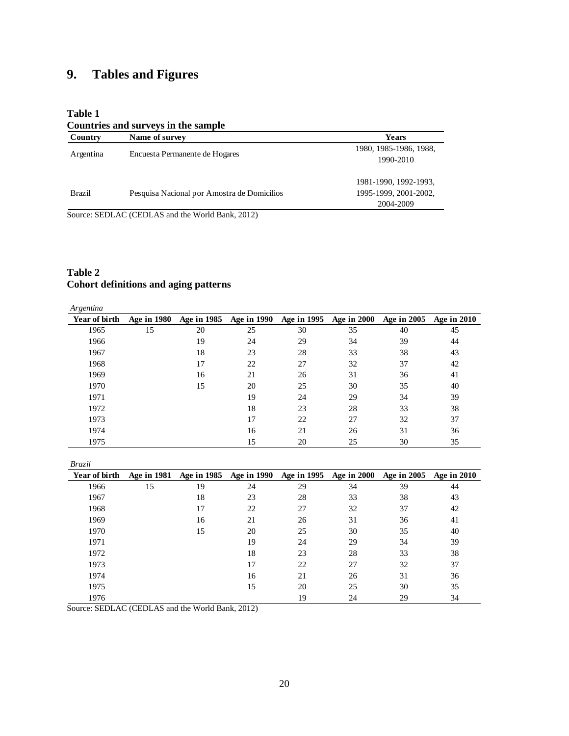# **9. Tables and Figures**

# **Table 1**

#### **Countries and surveys in the sample**

| Country       | Name of survey                              | <b>Years</b>           |
|---------------|---------------------------------------------|------------------------|
| Argentina     | Encuesta Permanente de Hogares              | 1980, 1985-1986, 1988, |
|               |                                             | 1990-2010              |
|               |                                             | 1981-1990, 1992-1993,  |
| <b>Brazil</b> | Pesquisa Nacional por Amostra de Domicilios | 1995-1999, 2001-2002,  |
|               |                                             | 2004-2009              |

Source: SEDLAC (CEDLAS and the World Bank, 2012)

# **Table 2 Cohort definitions and aging patterns**

| Argentina     |                    |             |                    |             |                    |             |             |
|---------------|--------------------|-------------|--------------------|-------------|--------------------|-------------|-------------|
| Year of birth | <b>Age in 1980</b> | Age in 1985 | <b>Age in 1990</b> | Age in 1995 | <b>Age in 2000</b> | Age in 2005 | Age in 2010 |
| 1965          | 15                 | 20          | 25                 | 30          | 35                 | 40          | 45          |
| 1966          |                    | 19          | 24                 | 29          | 34                 | 39          | 44          |
| 1967          |                    | 18          | 23                 | 28          | 33                 | 38          | 43          |
| 1968          |                    | 17          | 22                 | 27          | 32                 | 37          | 42          |
| 1969          |                    | 16          | 21                 | 26          | 31                 | 36          | 41          |
| 1970          |                    | 15          | 20                 | 25          | 30                 | 35          | 40          |
| 1971          |                    |             | 19                 | 24          | 29                 | 34          | 39          |
| 1972          |                    |             | 18                 | 23          | 28                 | 33          | 38          |
| 1973          |                    |             | 17                 | 22          | 27                 | 32          | 37          |
| 1974          |                    |             | 16                 | 21          | 26                 | 31          | 36          |
| 1975          |                    |             | 15                 | 20          | 25                 | 30          | 35          |

*Brazil*

| Year of birth | <b>Age in 1981</b> | <b>Age in 1985</b> |    | Age in 1990 Age in 1995 Age in 2000 |    | <b>Age in 2005</b> | Age in 2010 |
|---------------|--------------------|--------------------|----|-------------------------------------|----|--------------------|-------------|
| 1966          | 15                 | 19                 | 24 | 29                                  | 34 | 39                 | 44          |
| 1967          |                    | 18                 | 23 | 28                                  | 33 | 38                 | 43          |
| 1968          |                    | 17                 | 22 | 27                                  | 32 | 37                 | 42          |
| 1969          |                    | 16                 | 21 | 26                                  | 31 | 36                 | 41          |
| 1970          |                    | 15                 | 20 | 25                                  | 30 | 35                 | 40          |
| 1971          |                    |                    | 19 | 24                                  | 29 | 34                 | 39          |
| 1972          |                    |                    | 18 | 23                                  | 28 | 33                 | 38          |
| 1973          |                    |                    | 17 | 22                                  | 27 | 32                 | 37          |
| 1974          |                    |                    | 16 | 21                                  | 26 | 31                 | 36          |
| 1975          |                    |                    | 15 | 20                                  | 25 | 30                 | 35          |
| 1976          |                    |                    |    | 19                                  | 24 | 29                 | 34          |

Source: SEDLAC (CEDLAS and the World Bank, 2012)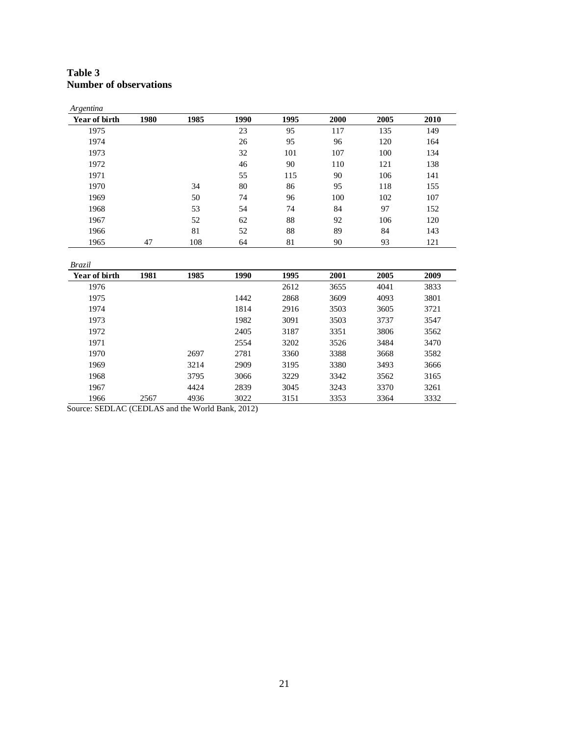#### **Table 3 Number of observations**

| Argentina     |      |      |      |      |      |      |      |
|---------------|------|------|------|------|------|------|------|
| Year of birth | 1980 | 1985 | 1990 | 1995 | 2000 | 2005 | 2010 |
| 1975          |      |      | 23   | 95   | 117  | 135  | 149  |
| 1974          |      |      | 26   | 95   | 96   | 120  | 164  |
| 1973          |      |      | 32   | 101  | 107  | 100  | 134  |
| 1972          |      |      | 46   | 90   | 110  | 121  | 138  |
| 1971          |      |      | 55   | 115  | 90   | 106  | 141  |
| 1970          |      | 34   | 80   | 86   | 95   | 118  | 155  |
| 1969          |      | 50   | 74   | 96   | 100  | 102  | 107  |
| 1968          |      | 53   | 54   | 74   | 84   | 97   | 152  |
| 1967          |      | 52   | 62   | 88   | 92   | 106  | 120  |
| 1966          |      | 81   | 52   | 88   | 89   | 84   | 143  |
| 1965          | 47   | 108  | 64   | 81   | 90   | 93   | 121  |

*Brazil*

| Year of birth | 1981 | 1985 | 1990 | 1995 | 2001 | 2005 | 2009 |
|---------------|------|------|------|------|------|------|------|
| 1976          |      |      |      | 2612 | 3655 | 4041 | 3833 |
| 1975          |      |      | 1442 | 2868 | 3609 | 4093 | 3801 |
| 1974          |      |      | 1814 | 2916 | 3503 | 3605 | 3721 |
| 1973          |      |      | 1982 | 3091 | 3503 | 3737 | 3547 |
| 1972          |      |      | 2405 | 3187 | 3351 | 3806 | 3562 |
| 1971          |      |      | 2554 | 3202 | 3526 | 3484 | 3470 |
| 1970          |      | 2697 | 2781 | 3360 | 3388 | 3668 | 3582 |
| 1969          |      | 3214 | 2909 | 3195 | 3380 | 3493 | 3666 |
| 1968          |      | 3795 | 3066 | 3229 | 3342 | 3562 | 3165 |
| 1967          |      | 4424 | 2839 | 3045 | 3243 | 3370 | 3261 |
| 1966          | 2567 | 4936 | 3022 | 3151 | 3353 | 3364 | 3332 |

Source: SEDLAC (CEDLAS and the World Bank, 2012)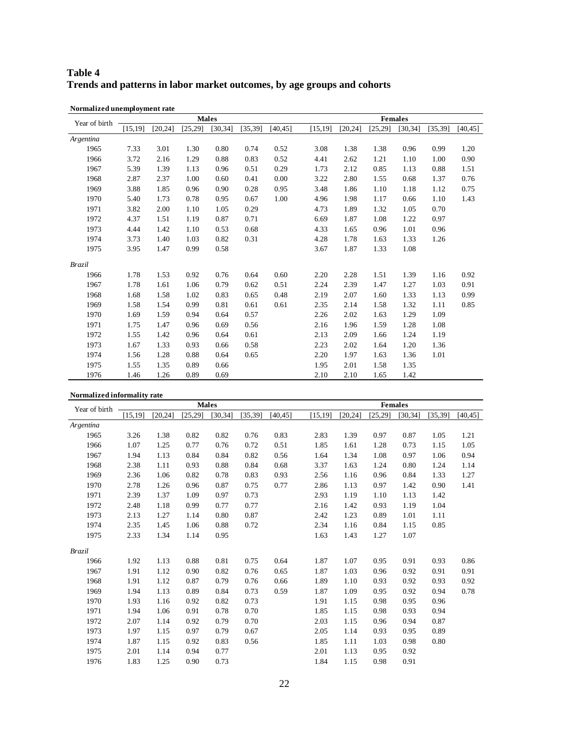# **Table 4 Trends and patterns in labor market outcomes, by age groups and cohorts**

| Year of birth |          |          | <b>Males</b> |          |          |          |          |          |          | <b>Females</b> |          |          |
|---------------|----------|----------|--------------|----------|----------|----------|----------|----------|----------|----------------|----------|----------|
|               | [15, 19] | [20, 24] | [25, 29]     | [30, 34] | [35, 39] | [40, 45] | [15, 19] | [20, 24] | [25, 29] | [30, 34]       | [35, 39] | [40, 45] |
| Argentina     |          |          |              |          |          |          |          |          |          |                |          |          |
| 1965          | 7.33     | 3.01     | 1.30         | 0.80     | 0.74     | 0.52     | 3.08     | 1.38     | 1.38     | 0.96           | 0.99     | 1.20     |
| 1966          | 3.72     | 2.16     | 1.29         | 0.88     | 0.83     | 0.52     | 4.41     | 2.62     | 1.21     | 1.10           | 1.00     | 0.90     |
| 1967          | 5.39     | 1.39     | 1.13         | 0.96     | 0.51     | 0.29     | 1.73     | 2.12     | 0.85     | 1.13           | 0.88     | 1.51     |
| 1968          | 2.87     | 2.37     | 1.00         | 0.60     | 0.41     | 0.00     | 3.22     | 2.80     | 1.55     | 0.68           | 1.37     | 0.76     |
| 1969          | 3.88     | 1.85     | 0.96         | 0.90     | 0.28     | 0.95     | 3.48     | 1.86     | 1.10     | 1.18           | 1.12     | 0.75     |
| 1970          | 5.40     | 1.73     | 0.78         | 0.95     | 0.67     | 1.00     | 4.96     | 1.98     | 1.17     | 0.66           | 1.10     | 1.43     |
| 1971          | 3.82     | 2.00     | 1.10         | 1.05     | 0.29     |          | 4.73     | 1.89     | 1.32     | 1.05           | 0.70     |          |
| 1972          | 4.37     | 1.51     | 1.19         | 0.87     | 0.71     |          | 6.69     | 1.87     | 1.08     | 1.22           | 0.97     |          |
| 1973          | 4.44     | 1.42     | 1.10         | 0.53     | 0.68     |          | 4.33     | 1.65     | 0.96     | 1.01           | 0.96     |          |
| 1974          | 3.73     | 1.40     | 1.03         | 0.82     | 0.31     |          | 4.28     | 1.78     | 1.63     | 1.33           | 1.26     |          |
| 1975          | 3.95     | 1.47     | 0.99         | 0.58     |          |          | 3.67     | 1.87     | 1.33     | 1.08           |          |          |
| <b>Brazil</b> |          |          |              |          |          |          |          |          |          |                |          |          |
| 1966          | 1.78     | 1.53     | 0.92         | 0.76     | 0.64     | 0.60     | 2.20     | 2.28     | 1.51     | 1.39           | 1.16     | 0.92     |
| 1967          | 1.78     | 1.61     | 1.06         | 0.79     | 0.62     | 0.51     | 2.24     | 2.39     | 1.47     | 1.27           | 1.03     | 0.91     |
| 1968          | 1.68     | 1.58     | 1.02         | 0.83     | 0.65     | 0.48     | 2.19     | 2.07     | 1.60     | 1.33           | 1.13     | 0.99     |
| 1969          | 1.58     | 1.54     | 0.99         | 0.81     | 0.61     | 0.61     | 2.35     | 2.14     | 1.58     | 1.32           | 1.11     | 0.85     |
| 1970          | 1.69     | 1.59     | 0.94         | 0.64     | 0.57     |          | 2.26     | 2.02     | 1.63     | 1.29           | 1.09     |          |
| 1971          | 1.75     | 1.47     | 0.96         | 0.69     | 0.56     |          | 2.16     | 1.96     | 1.59     | 1.28           | 1.08     |          |
| 1972          | 1.55     | 1.42     | 0.96         | 0.64     | 0.61     |          | 2.13     | 2.09     | 1.66     | 1.24           | 1.19     |          |
| 1973          | 1.67     | 1.33     | 0.93         | 0.66     | 0.58     |          | 2.23     | 2.02     | 1.64     | 1.20           | 1.36     |          |
| 1974          | 1.56     | 1.28     | 0.88         | 0.64     | 0.65     |          | 2.20     | 1.97     | 1.63     | 1.36           | 1.01     |          |
| 1975          | 1.55     | 1.35     | 0.89         | 0.66     |          |          | 1.95     | 2.01     | 1.58     | 1.35           |          |          |
| 1976          | 1.46     | 1.26     | 0.89         | 0.69     |          |          | 2.10     | 2.10     | 1.65     | 1.42           |          |          |

**Normalized unemployment rate**

#### **Normalized informality rate**

| Year of birth |          |          |          | <b>Males</b> |          |          |          |          | <b>Females</b> |          |          |          |
|---------------|----------|----------|----------|--------------|----------|----------|----------|----------|----------------|----------|----------|----------|
|               | [15, 19] | [20, 24] | [25, 29] | [30, 34]     | [35, 39] | [40, 45] | [15, 19] | [20, 24] | [25, 29]       | [30, 34] | [35, 39] | [40, 45] |
| Argentina     |          |          |          |              |          |          |          |          |                |          |          |          |
| 1965          | 3.26     | 1.38     | 0.82     | 0.82         | 0.76     | 0.83     | 2.83     | 1.39     | 0.97           | 0.87     | 1.05     | 1.21     |
| 1966          | 1.07     | 1.25     | 0.77     | 0.76         | 0.72     | 0.51     | 1.85     | 1.61     | 1.28           | 0.73     | 1.15     | 1.05     |
| 1967          | 1.94     | 1.13     | 0.84     | 0.84         | 0.82     | 0.56     | 1.64     | 1.34     | 1.08           | 0.97     | 1.06     | 0.94     |
| 1968          | 2.38     | 1.11     | 0.93     | 0.88         | 0.84     | 0.68     | 3.37     | 1.63     | 1.24           | 0.80     | 1.24     | 1.14     |
| 1969          | 2.36     | 1.06     | 0.82     | 0.78         | 0.83     | 0.93     | 2.56     | 1.16     | 0.96           | 0.84     | 1.33     | 1.27     |
| 1970          | 2.78     | 1.26     | 0.96     | 0.87         | 0.75     | 0.77     | 2.86     | 1.13     | 0.97           | 1.42     | 0.90     | 1.41     |
| 1971          | 2.39     | 1.37     | 1.09     | 0.97         | 0.73     |          | 2.93     | 1.19     | 1.10           | 1.13     | 1.42     |          |
| 1972          | 2.48     | 1.18     | 0.99     | 0.77         | 0.77     |          | 2.16     | 1.42     | 0.93           | 1.19     | 1.04     |          |
| 1973          | 2.13     | 1.27     | 1.14     | 0.80         | 0.87     |          | 2.42     | 1.23     | 0.89           | 1.01     | 1.11     |          |
| 1974          | 2.35     | 1.45     | 1.06     | 0.88         | 0.72     |          | 2.34     | 1.16     | 0.84           | 1.15     | 0.85     |          |
| 1975          | 2.33     | 1.34     | 1.14     | 0.95         |          |          | 1.63     | 1.43     | 1.27           | 1.07     |          |          |
| <b>Brazil</b> |          |          |          |              |          |          |          |          |                |          |          |          |
| 1966          | 1.92     | 1.13     | 0.88     | 0.81         | 0.75     | 0.64     | 1.87     | 1.07     | 0.95           | 0.91     | 0.93     | 0.86     |
| 1967          | 1.91     | 1.12     | 0.90     | 0.82         | 0.76     | 0.65     | 1.87     | 1.03     | 0.96           | 0.92     | 0.91     | 0.91     |
| 1968          | 1.91     | 1.12     | 0.87     | 0.79         | 0.76     | 0.66     | 1.89     | 1.10     | 0.93           | 0.92     | 0.93     | 0.92     |
| 1969          | 1.94     | 1.13     | 0.89     | 0.84         | 0.73     | 0.59     | 1.87     | 1.09     | 0.95           | 0.92     | 0.94     | 0.78     |
| 1970          | 1.93     | 1.16     | 0.92     | 0.82         | 0.73     |          | 1.91     | 1.15     | 0.98           | 0.95     | 0.96     |          |
| 1971          | 1.94     | 1.06     | 0.91     | 0.78         | 0.70     |          | 1.85     | 1.15     | 0.98           | 0.93     | 0.94     |          |
| 1972          | 2.07     | 1.14     | 0.92     | 0.79         | 0.70     |          | 2.03     | 1.15     | 0.96           | 0.94     | 0.87     |          |
| 1973          | 1.97     | 1.15     | 0.97     | 0.79         | 0.67     |          | 2.05     | 1.14     | 0.93           | 0.95     | 0.89     |          |
| 1974          | 1.87     | 1.15     | 0.92     | 0.83         | 0.56     |          | 1.85     | 1.11     | 1.03           | 0.98     | 0.80     |          |
| 1975          | 2.01     | 1.14     | 0.94     | 0.77         |          |          | 2.01     | 1.13     | 0.95           | 0.92     |          |          |
| 1976          | 1.83     | 1.25     | 0.90     | 0.73         |          |          | 1.84     | 1.15     | 0.98           | 0.91     |          |          |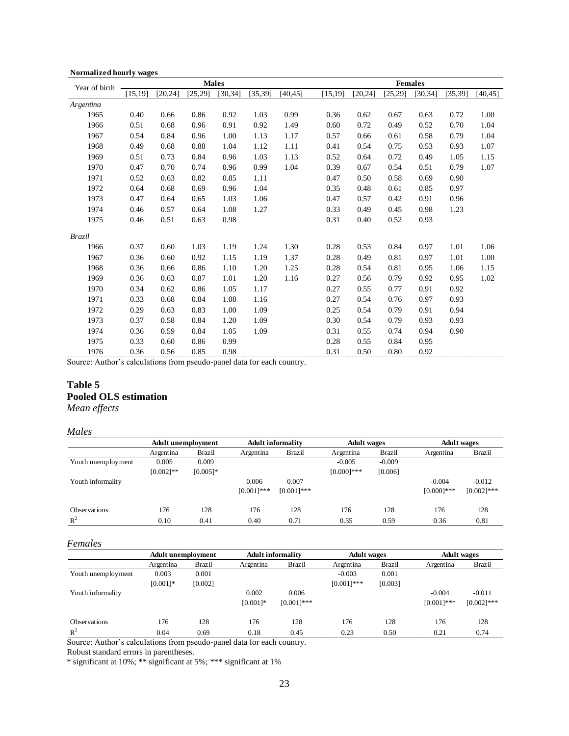| Year of birth |          |          |         | <b>Males</b> |          |          |          |          |          | <b>Females</b> |          |          |
|---------------|----------|----------|---------|--------------|----------|----------|----------|----------|----------|----------------|----------|----------|
|               | [15, 19] | [20, 24] | [25,29] | [30, 34]     | [35, 39] | [40, 45] | [15, 19] | [20, 24] | [25, 29] | [30, 34]       | [35, 39] | [40, 45] |
| Argentina     |          |          |         |              |          |          |          |          |          |                |          |          |
| 1965          | 0.40     | 0.66     | 0.86    | 0.92         | 1.03     | 0.99     | 0.36     | 0.62     | 0.67     | 0.63           | 0.72     | 1.00     |
| 1966          | 0.51     | 0.68     | 0.96    | 0.91         | 0.92     | 1.49     | 0.60     | 0.72     | 0.49     | 0.52           | 0.70     | 1.04     |
| 1967          | 0.54     | 0.84     | 0.96    | 1.00         | 1.13     | 1.17     | 0.57     | 0.66     | 0.61     | 0.58           | 0.79     | 1.04     |
| 1968          | 0.49     | 0.68     | 0.88    | 1.04         | 1.12     | 1.11     | 0.41     | 0.54     | 0.75     | 0.53           | 0.93     | 1.07     |
| 1969          | 0.51     | 0.73     | 0.84    | 0.96         | 1.03     | 1.13     | 0.52     | 0.64     | 0.72     | 0.49           | 1.05     | 1.15     |
| 1970          | 0.47     | 0.70     | 0.74    | 0.96         | 0.99     | 1.04     | 0.39     | 0.67     | 0.54     | 0.51           | 0.79     | 1.07     |
| 1971          | 0.52     | 0.63     | 0.82    | 0.85         | 1.11     |          | 0.47     | 0.50     | 0.58     | 0.69           | 0.90     |          |
| 1972          | 0.64     | 0.68     | 0.69    | 0.96         | 1.04     |          | 0.35     | 0.48     | 0.61     | 0.85           | 0.97     |          |
| 1973          | 0.47     | 0.64     | 0.65    | 1.03         | 1.06     |          | 0.47     | 0.57     | 0.42     | 0.91           | 0.96     |          |
| 1974          | 0.46     | 0.57     | 0.64    | 1.08         | 1.27     |          | 0.33     | 0.49     | 0.45     | 0.98           | 1.23     |          |
| 1975          | 0.46     | 0.51     | 0.63    | 0.98         |          |          | 0.31     | 0.40     | 0.52     | 0.93           |          |          |
| <b>Brazil</b> |          |          |         |              |          |          |          |          |          |                |          |          |
| 1966          | 0.37     | 0.60     | 1.03    | 1.19         | 1.24     | 1.30     | 0.28     | 0.53     | 0.84     | 0.97           | 1.01     | 1.06     |
| 1967          | 0.36     | 0.60     | 0.92    | 1.15         | 1.19     | 1.37     | 0.28     | 0.49     | 0.81     | 0.97           | 1.01     | 1.00     |
| 1968          | 0.36     | 0.66     | 0.86    | 1.10         | 1.20     | 1.25     | 0.28     | 0.54     | 0.81     | 0.95           | 1.06     | 1.15     |
| 1969          | 0.36     | 0.63     | 0.87    | 1.01         | 1.20     | 1.16     | 0.27     | 0.56     | 0.79     | 0.92           | 0.95     | 1.02     |
| 1970          | 0.34     | 0.62     | 0.86    | 1.05         | 1.17     |          | 0.27     | 0.55     | 0.77     | 0.91           | 0.92     |          |
| 1971          | 0.33     | 0.68     | 0.84    | 1.08         | 1.16     |          | 0.27     | 0.54     | 0.76     | 0.97           | 0.93     |          |
| 1972          | 0.29     | 0.63     | 0.83    | 1.00         | 1.09     |          | 0.25     | 0.54     | 0.79     | 0.91           | 0.94     |          |
| 1973          | 0.37     | 0.58     | 0.84    | 1.20         | 1.09     |          | 0.30     | 0.54     | 0.79     | 0.93           | 0.93     |          |
| 1974          | 0.36     | 0.59     | 0.84    | 1.05         | 1.09     |          | 0.31     | 0.55     | 0.74     | 0.94           | 0.90     |          |
| 1975          | 0.33     | 0.60     | 0.86    | 0.99         |          |          | 0.28     | 0.55     | 0.84     | 0.95           |          |          |
| 1976          | 0.36     | 0.56     | 0.85    | 0.98         |          |          | 0.31     | 0.50     | 0.80     | 0.92           |          |          |

#### **Normalized hourly wages**

Source: Author's calculations from pseudo-panel data for each country.

# **Table 5 Pooled OLS estimation**

*Mean effects*

#### *Males*

|                     | <b>Adult unemployment</b> |             |               | <b>Adult informality</b> | <b>Adult</b> wages |               |               | <b>Adult</b> wages |
|---------------------|---------------------------|-------------|---------------|--------------------------|--------------------|---------------|---------------|--------------------|
|                     | Argentina                 | Brazil      | Argentina     | Brazil                   | Argentina          | <b>Brazil</b> | Argentina     | Brazil             |
| Youth unemployment  | 0.005                     | 0.009       |               |                          | $-0.005$           | $-0.009$      |               |                    |
|                     | $[0.002]$ **              | $[0.005]$ * |               |                          | $[0.000]$ ***      | [0.006]       |               |                    |
| Youth informality   |                           |             | 0.006         | 0.007                    |                    |               | $-0.004$      | $-0.012$           |
|                     |                           |             | $[0.001]$ *** | $[0.001]$ ***            |                    |               | $[0.000]$ *** | $[0.002]$ ***      |
| <b>Observations</b> | 176                       | 128         | 176           | 128                      | 176                | 128           | 176           | 128                |
| $R^2$               | 0.10                      | 0.41        | 0.40          | 0.71                     | 0.35               | 0.59          | 0.36          | 0.81               |

#### *Females*

|                     | <b>Adult unemployment</b> |         |             | <b>Adult informality</b> | <b>Adult</b> wages |         | <b>Adult</b> wages |               |  |
|---------------------|---------------------------|---------|-------------|--------------------------|--------------------|---------|--------------------|---------------|--|
|                     | Argentina                 | Brazil  | Argentina   | <b>Brazil</b>            | Argentina          | Brazil  | Argentina          | <b>Brazil</b> |  |
| Youth unemployment  | 0.003                     | 0.001   |             |                          | $-0.003$           | 0.001   |                    |               |  |
|                     | $[0.001]*$                | [0.002] |             |                          | $[0.001]$ ***      | [0.003] |                    |               |  |
| Youth informality   |                           |         | 0.002       | 0.006                    |                    |         | $-0.004$           | $-0.011$      |  |
|                     |                           |         | $[0.001]$ * | $[0.001]$ ***            |                    |         | $[0.001]$ ***      | $[0.002]$ *** |  |
| <b>Observations</b> | 176                       | 128     | 176         | 128                      | 176                | 128     | 176                | 128           |  |
| $R^2$               | 0.04                      | 0.69    | 0.18        | 0.45                     | 0.23               | 0.50    | 0.21               | 0.74          |  |

Source: Author's calculations from pseudo-panel data for each country.

Robust standard errors in parentheses.

\* significant at 10%; \*\* significant at 5%; \*\*\* significant at 1%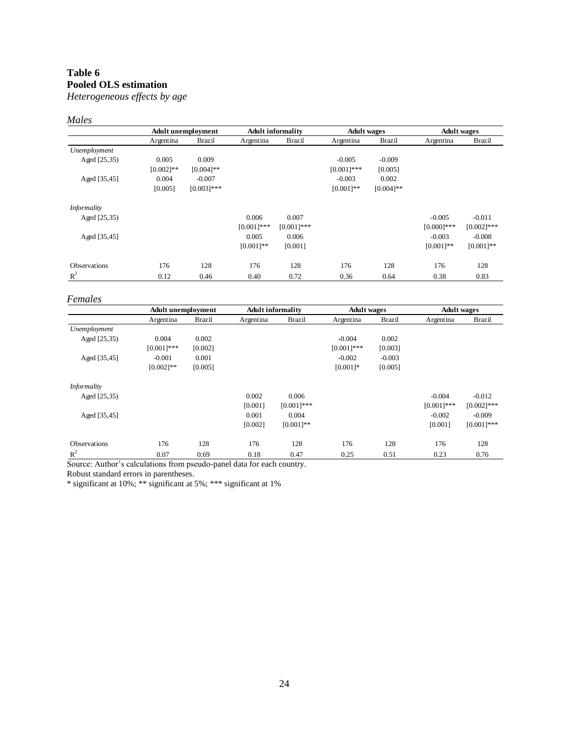# **Table 6 Pooled OLS estimation**

*Heterogeneous effects by age*

### *Males*

|                     |              | <b>Adult unemployment</b> |              | <b>Adult informality</b> | <b>Adult</b> wages |               |               | <b>Adult</b> wages |
|---------------------|--------------|---------------------------|--------------|--------------------------|--------------------|---------------|---------------|--------------------|
|                     | Argentina    | <b>Brazil</b>             | Argentina    | <b>Brazil</b>            | Argentina          | <b>Brazil</b> | Argentina     | <b>Brazil</b>      |
| Unemployment        |              |                           |              |                          |                    |               |               |                    |
| Aged [25,35)        | 0.005        | 0.009                     |              |                          | $-0.005$           | $-0.009$      |               |                    |
|                     | $[0.002]$ ** | $[0.004]$ **              |              |                          | $[0.001]***$       | [0.005]       |               |                    |
| Aged [35,45]        | 0.004        | $-0.007$                  |              |                          | $-0.003$           | 0.002         |               |                    |
|                     | [0.005]      | $[0.003]$ ***             |              |                          | $[0.001]**$        | $[0.004]$ **  |               |                    |
| Informality         |              |                           |              |                          |                    |               |               |                    |
| Aged [25,35)        |              |                           | 0.006        | 0.007                    |                    |               | $-0.005$      | $-0.011$           |
|                     |              |                           | $[0.001]***$ | $[0.001]***$             |                    |               | $[0.000]$ *** | $[0.002]$ ***      |
| Aged [35,45]        |              |                           | 0.005        | 0.006                    |                    |               | $-0.003$      | $-0.008$           |
|                     |              |                           | $[0.001]**$  | [0.001]                  |                    |               | $[0.001]**$   | $[0.001]**$        |
| <b>Observations</b> | 176          | 128                       | 176          | 128                      | 176                | 128           | 176           | 128                |
| $R^2$               | 0.12         | 0.46                      | 0.40         | 0.72                     | 0.36               | 0.64          | 0.38          | 0.83               |

#### *Females*

|                     | <b>Adult unemployment</b> |               |           | <b>Adult informality</b> | <b>Adult</b> wages |               |              | <b>Adult</b> wages |
|---------------------|---------------------------|---------------|-----------|--------------------------|--------------------|---------------|--------------|--------------------|
|                     | Argentina                 | <b>Brazil</b> | Argentina | <b>Brazil</b>            | Argentina          | <b>Brazil</b> | Argentina    | <b>Brazil</b>      |
| Unemployment        |                           |               |           |                          |                    |               |              |                    |
| Aged [25,35)        | 0.004                     | 0.002         |           |                          | $-0.004$           | 0.002         |              |                    |
|                     | $[0.001]$ ***             | [0.002]       |           |                          | $[0.001]***$       | [0.003]       |              |                    |
| Aged [35,45]        | $-0.001$                  | 0.001         |           |                          | $-0.002$           | $-0.003$      |              |                    |
|                     | $[0.002]**$               | [0.005]       |           |                          | $[0.001]*$         | [0.005]       |              |                    |
| Informality         |                           |               |           |                          |                    |               |              |                    |
| Aged [25,35)        |                           |               | 0.002     | 0.006                    |                    |               | $-0.004$     | $-0.012$           |
|                     |                           |               | [0.001]   | $[0.001]$ ***            |                    |               | $[0.001]***$ | $[0.002]$ ***      |
| Aged [35,45]        |                           |               | 0.001     | 0.004                    |                    |               | $-0.002$     | $-0.009$           |
|                     |                           |               | [0.002]   | $[0.001]$ **             |                    |               | [0.001]      | $[0.001]$ ***      |
| <b>Observations</b> | 176                       | 128           | 176       | 128                      | 176                | 128           | 176          | 128                |
| $R^2$               | 0.07                      | 0.69          | 0.18      | 0.47                     | 0.25               | 0.51          | 0.23         | 0.76               |

Source: Author's calculations from pseudo-panel data for each country.

Robust standard errors in parentheses.

\* significant at 10%; \*\* significant at 5%; \*\*\* significant at 1%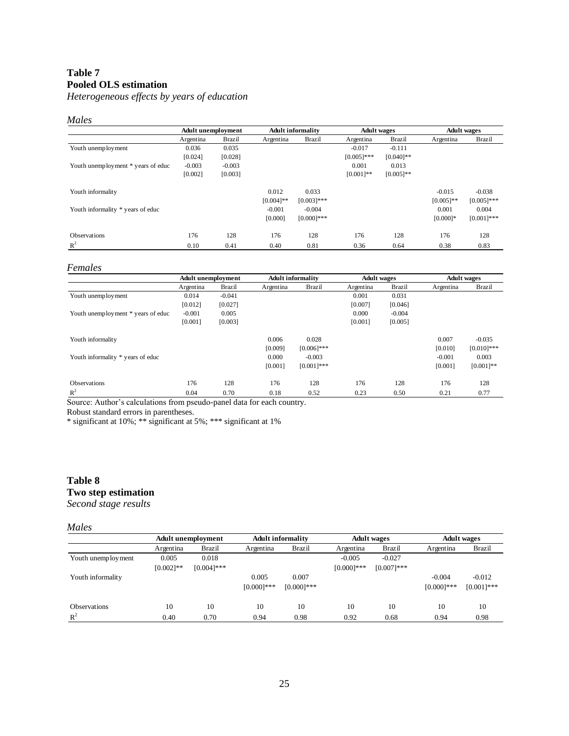# **Table 7 Pooled OLS estimation**

*Heterogeneous effects by years of education*

### *Males*

|                                    | <b>Adult unemployment</b> |          | <b>Adult informality</b> |               | <b>Adult</b> wages |               | <b>Adult</b> wages |               |
|------------------------------------|---------------------------|----------|--------------------------|---------------|--------------------|---------------|--------------------|---------------|
|                                    | Argentina                 | Brazil   | Argentina                | <b>Brazil</b> | Argentina          | <b>Brazil</b> | Argentina          | Brazil        |
| Youth unemployment                 | 0.036                     | 0.035    |                          |               | $-0.017$           | $-0.111$      |                    |               |
|                                    | [0.024]                   | [0.028]  |                          |               | $[0.005]$ ***      | $[0.040]$ **  |                    |               |
| Youth unemployment * years of educ | $-0.003$                  | $-0.003$ |                          |               | 0.001              | 0.013         |                    |               |
|                                    | [0.002]                   | [0.003]  |                          |               | $[0.001]$ **       | $[0.005]$ **  |                    |               |
| Youth informality                  |                           |          | 0.012                    | 0.033         |                    |               | $-0.015$           | $-0.038$      |
|                                    |                           |          | $[0.004]$ **             | $[0.003]$ *** |                    |               | $[0.005]$ **       | $[0.005]$ *** |
| Youth informality * years of educ  |                           |          | $-0.001$                 | $-0.004$      |                    |               | 0.001              | 0.004         |
|                                    |                           |          | [0.000]                  | $[0.000]$ *** |                    |               | $[0.000]$ *        | $[0.001]***$  |
| <b>Observations</b>                | 176                       | 128      | 176                      | 128           | 176                | 128           | 176                | 128           |
| $R^2$                              | 0.10                      | 0.41     | 0.40                     | 0.81          | 0.36               | 0.64          | 0.38               | 0.83          |

#### *Females*

|                                    | <b>Adult unemployment</b> |          | <b>Adult informality</b> |               | <b>Adult</b> wages |               | <b>Adult</b> wages |               |
|------------------------------------|---------------------------|----------|--------------------------|---------------|--------------------|---------------|--------------------|---------------|
|                                    | Argentina                 | Brazil   | Argentina                | Brazil        | Argentina          | <b>Brazil</b> | Argentina          | <b>Brazil</b> |
| Youth unemployment                 | 0.014                     | $-0.041$ |                          |               | 0.001              | 0.031         |                    |               |
|                                    | [0.012]                   | [0.027]  |                          |               | [0.007]            | [0.046]       |                    |               |
| Youth unemployment * years of educ | $-0.001$                  | 0.005    |                          |               | 0.000              | $-0.004$      |                    |               |
|                                    | [0.001]                   | [0.003]  |                          |               | [0.001]            | [0.005]       |                    |               |
| Youth informality                  |                           |          | 0.006                    | 0.028         |                    |               | 0.007              | $-0.035$      |
|                                    |                           |          | [0.009]                  | $[0.006]$ *** |                    |               | [0.010]            | $[0.010]$ *** |
| Youth informality * years of educ  |                           |          | 0.000                    | $-0.003$      |                    |               | $-0.001$           | 0.003         |
|                                    |                           |          | [0.001]                  | $[0.001]$ *** |                    |               | [0.001]            | $[0.001]*$    |
| <b>Observations</b>                | 176                       | 128      | 176                      | 128           | 176                | 128           | 176                | 128           |
| $R^2$                              | 0.04                      | 0.70     | 0.18                     | 0.52          | 0.23               | 0.50          | 0.21               | 0.77          |

Source: Author's calculations from pseudo-panel data for each country.

Robust standard errors in parentheses.

\* significant at 10%; \*\* significant at 5%; \*\*\* significant at 1%

# **Table 8 Two step estimation**

*Second stage results*

#### *Males*

|                     | Adult unemployment |               | <b>Adult informality</b> |               | <b>Adult</b> wages |               | <b>Adult</b> wages |               |
|---------------------|--------------------|---------------|--------------------------|---------------|--------------------|---------------|--------------------|---------------|
|                     | Argentina          | Brazil        | Argentina                | <b>Brazil</b> | Argentina          | <b>Brazil</b> | Argentina          | Brazil        |
| Youth unemployment  | 0.005              | 0.018         |                          |               | $-0.005$           | $-0.027$      |                    |               |
|                     | $[0.002]$ **       | $[0.004]$ *** |                          |               | $[0.000]$ ***      | $[0.007]$ *** |                    |               |
| Youth informality   |                    |               | 0.005                    | 0.007         |                    |               | $-0.004$           | $-0.012$      |
|                     |                    |               | $[0.000]$ ***            | $[0.000]$ *** |                    |               | $[0.000]$ ***      | $[0.001]$ *** |
| <b>Observations</b> | 10                 | 10            | 10                       | 10            | 10                 | 10            | 10                 | 10            |
| $R^2$               | 0.40               | 0.70          | 0.94                     | 0.98          | 0.92               | 0.68          | 0.94               | 0.98          |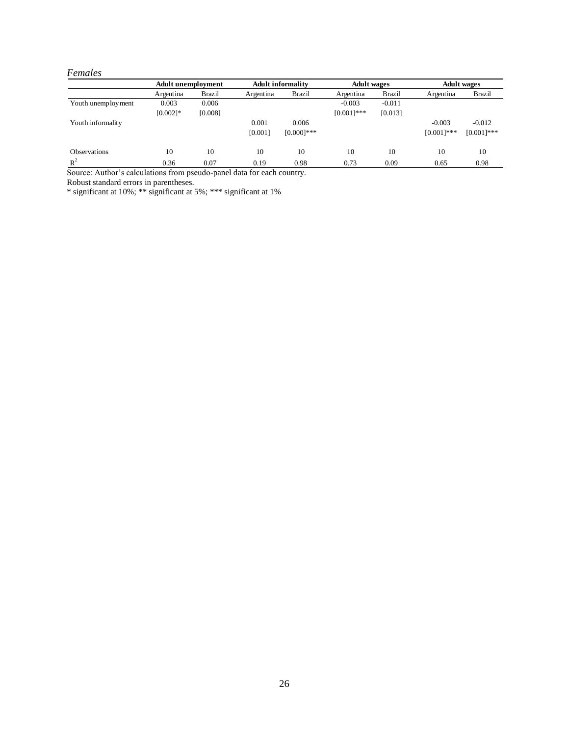#### *Females*

|                     | Adult unemployment |         |           | <b>Adult informality</b> |               | <b>Adult</b> wages |               | <b>Adult</b> wages |  |
|---------------------|--------------------|---------|-----------|--------------------------|---------------|--------------------|---------------|--------------------|--|
|                     | Argentina          | Brazil  | Argentina | <b>Brazil</b>            | Argentina     | <b>Brazil</b>      | Argentina     | Brazil             |  |
| Youth unemployment  | 0.003              | 0.006   |           |                          | $-0.003$      | $-0.011$           |               |                    |  |
|                     | $[0.002]$ *        | [0.008] |           |                          | $[0.001]$ *** | [0.013]            |               |                    |  |
| Youth informality   |                    |         | 0.001     | 0.006                    |               |                    | $-0.003$      | $-0.012$           |  |
|                     |                    |         | [0.001]   | $[0.000]$ ***            |               |                    | $[0.001]$ *** | $[0.001]***$       |  |
| <b>Observations</b> | 10                 | 10      | 10        | 10                       | 10            | 10                 | 10            | 10                 |  |
| $R^2$               | 0.36               | 0.07    | 0.19      | 0.98                     | 0.73          | 0.09               | 0.65          | 0.98               |  |

Source: Author's calculations from pseudo-panel data for each country.

Robust standard errors in parentheses.

\* significant at 10%; \*\* significant at 5%; \*\*\* significant at 1%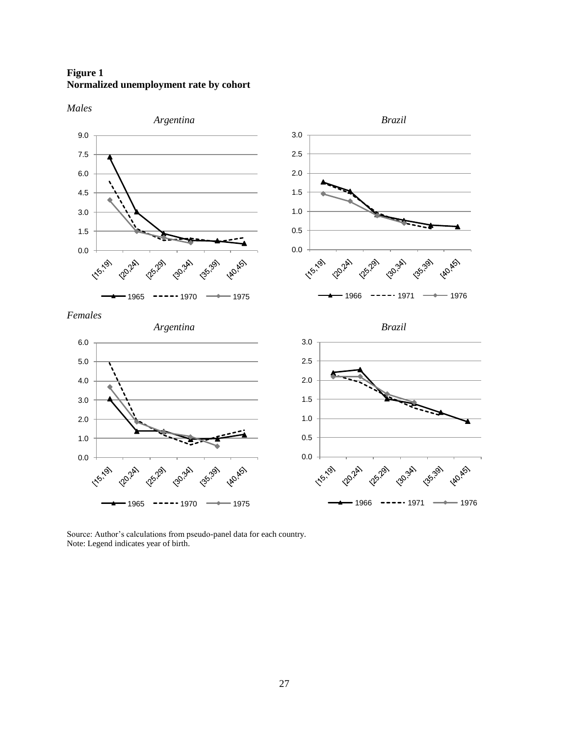**Figure 1 Normalized unemployment rate by cohort**

*Males*



Source: Author's calculations from pseudo-panel data for each country. Note: Legend indicates year of birth.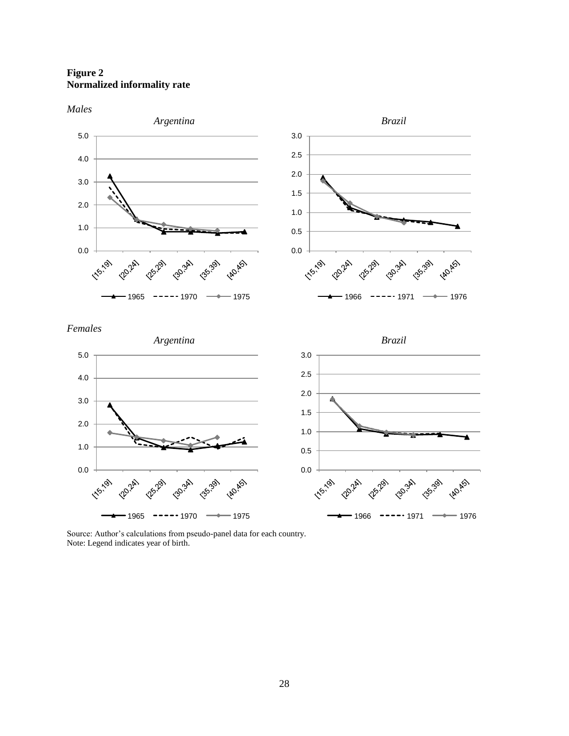**Figure 2 Normalized informality rate**

*Males*



Source: Author's calculations from pseudo-panel data for each country. Note: Legend indicates year of birth.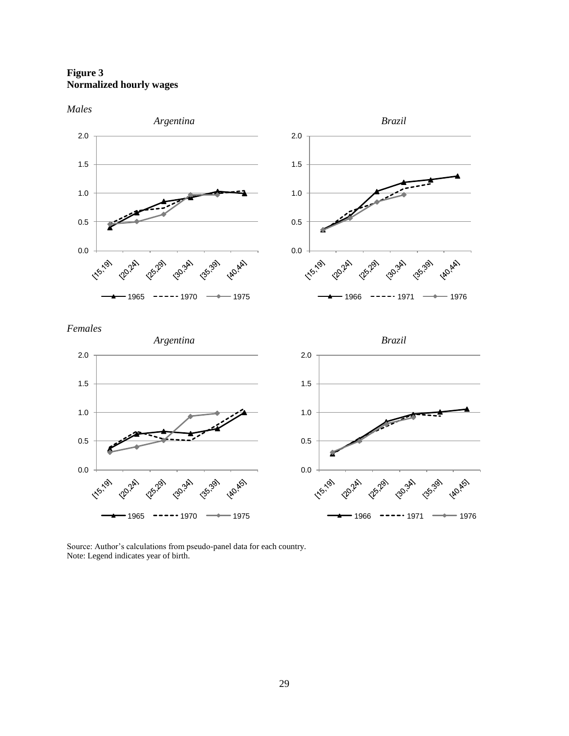**Figure 3 Normalized hourly wages**

*Males*



Source: Author's calculations from pseudo-panel data for each country. Note: Legend indicates year of birth.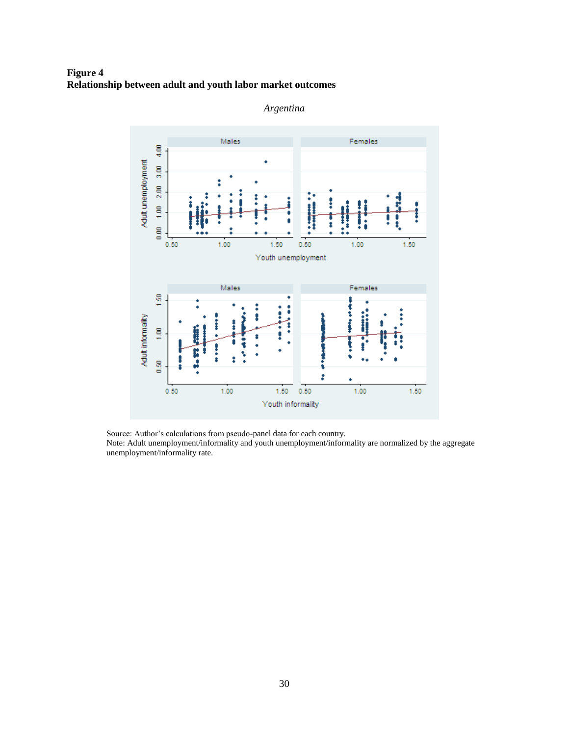# **Figure 4 Relationship between adult and youth labor market outcomes**





Source: Author's calculations from pseudo-panel data for each country.

Note: Adult unemployment/informality and youth unemployment/informality are normalized by the aggregate unemployment/informality rate.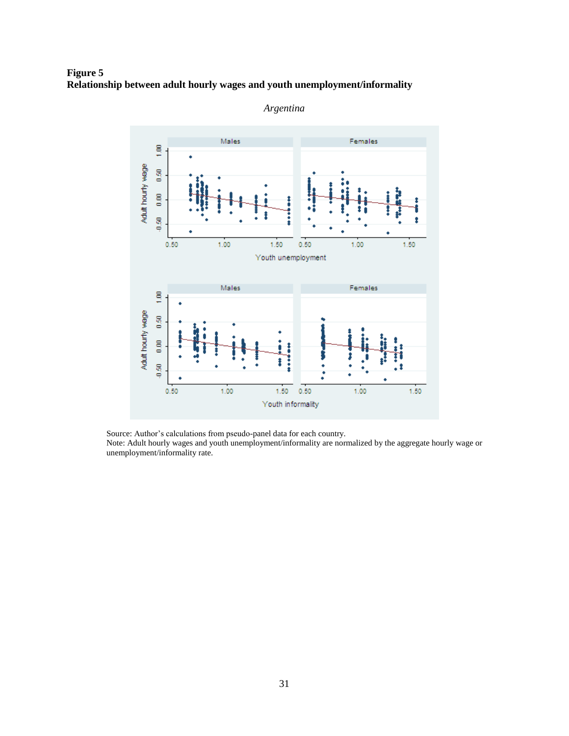**Figure 5 Relationship between adult hourly wages and youth unemployment/informality**



*Argentina*

Source: Author"s calculations from pseudo-panel data for each country.

Note: Adult hourly wages and youth unemployment/informality are normalized by the aggregate hourly wage or unemployment/informality rate.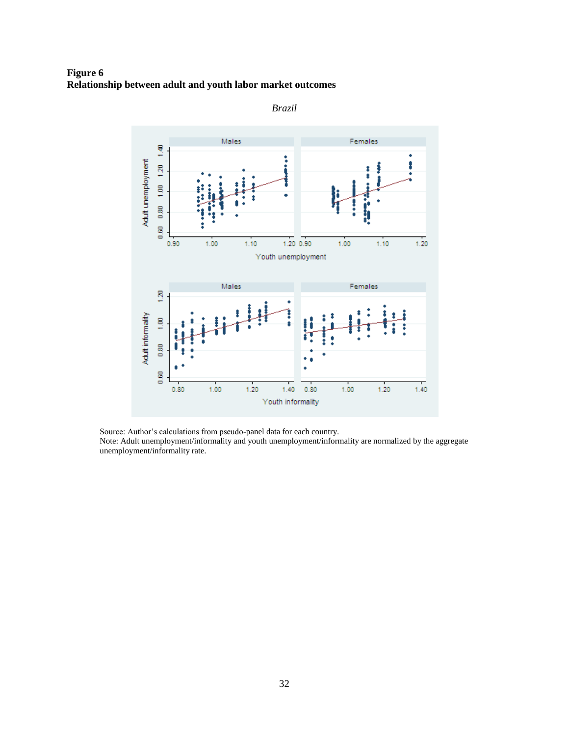**Figure 6 Relationship between adult and youth labor market outcomes**



*Brazil*

Source: Author"s calculations from pseudo-panel data for each country.

Note: Adult unemployment/informality and youth unemployment/informality are normalized by the aggregate unemployment/informality rate.